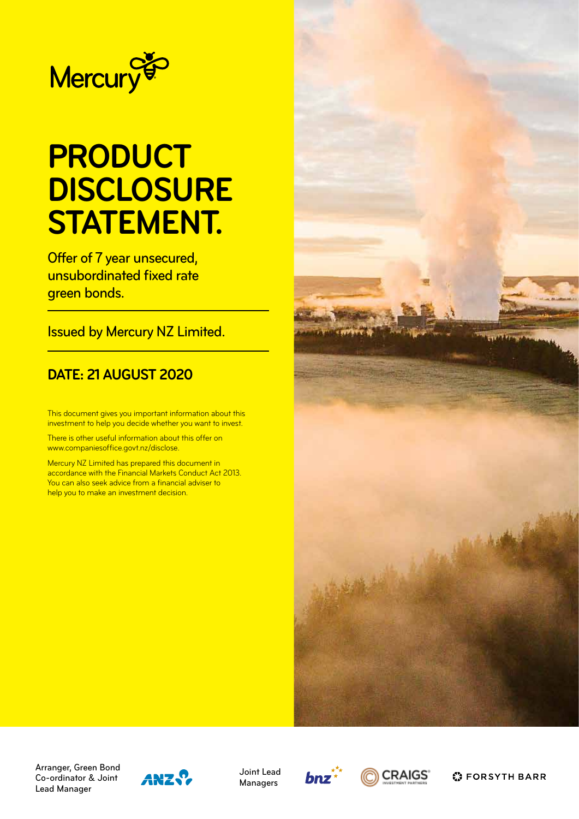

# **PRODUCT DISCLOSURE STATEMENT.**

Offer of 7 year unsecured, unsubordinated fixed rate green bonds.

Issued by Mercury NZ Limited.

### **DATE: 21 AUGUST 2020**

This document gives you important information about this investment to help you decide whether you want to invest.

There is other useful information about this offer on www.companiesoffice.govt.nz/disclose.

Mercury NZ Limited has prepared this document in accordance with the Financial Markets Conduct Act 2013. You can also seek advice from a financial adviser to help you to make an investment decision.



Arranger, Green Bond Co-ordinator & Joint Lead Manager



Joint Lead Managers





**C** FORSYTH BARR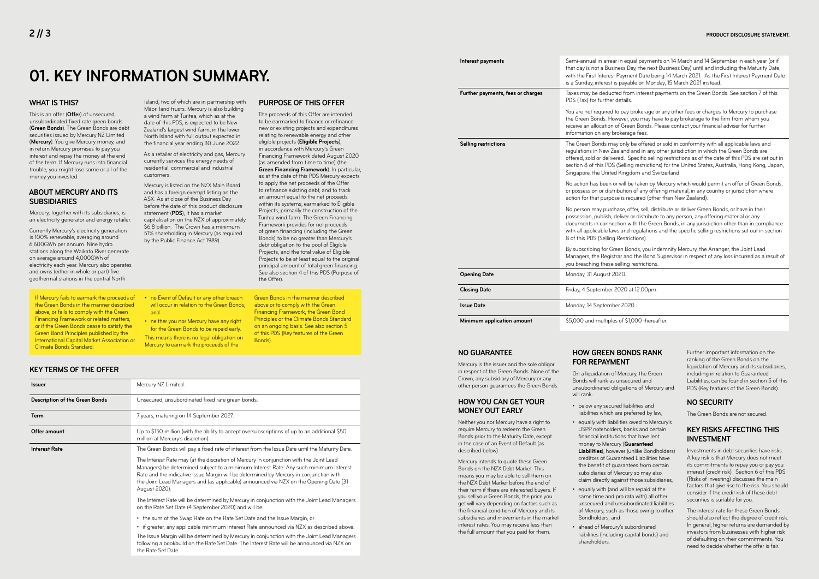#### **WHAT IS THIS?**

This is an offer (**Offer**) of unsecured, unsubordinated fixed rate green bonds (**Green Bonds**). The Green Bonds are debt securities issued by Mercury NZ Limited (**Mercury**). You give Mercury money, and in return Mercury promises to pay you interest and repay the money at the end of the term. If Mercury runs into financial trouble, you might lose some or all of the money you invested.

#### **ABOUT MERCURY AND ITS SUBSIDIARIES**

Mercury, together with its subsidiaries, is an electricity generator and energy retailer.

Currently Mercury's electricity generation is 100% renewable, averaging around 6,600GWh per annum. Nine hydro stations along the Waikato River generate on average around 4,000GWh of electricity each year. Mercury also operates and owns (either in whole or part) five geothermal stations in the central North

Island, two of which are in partnership with Māori land trusts. Mercury is also building a wind farm at Turitea, which as at the date of this PDS, is expected to be New Zealand's largest wind farm, in the lower North Island with full output expected in the financial year ending 30 June 2022.

As a retailer of electricity and gas, Mercury currently services the energy needs of residential, commercial and industrial customers.

Mercury is listed on the NZX Main Board and has a foreign exempt listing on the ASX. As at close of the Business Day before the date of this product disclosure statement (**PDS**), it has a market capitalisation on the NZX of approximately \$6.8 billion. The Crown has a minimum 51% shareholding in Mercury (as required by the Public Finance Act 1989).

### **PURPOSE OF THIS OFFER**

The proceeds of this Offer are intended

to be earmarked to finance or refinance new or existing projects and expenditures relating to renewable energy and other eligible projects (**Eligible Projects**), in accordance with Mercury's Green Financing Framework dated August 2020 (as amended from time to time) (the **Green Financing Framework**). In particular, as at the date of this PDS Mercury expects to apply the net proceeds of the Offer to refinance existing debt, and to track an amount equal to the net proceeds within its systems, earmarked to Eligible Projects, primarily the construction of the Turitea wind farm. The Green Financing Framework provides for net proceeds of green financing (including the Green Bonds) to be no greater than Mercury's debt obligation to the pool of Eligible Projects, and the total value of Eligible Projects to be at least equal to the original principal amount of total green financing. See also section 4 of this PDS (Purpose of the Offer).

**Interest payments** Semi-annual in arrear in equal payments on 14 March and 14 September in each year (or if that day is not a Business Day, the next Business Day) until and including the Maturity Date, with the First Interest Payment Date being 14 March 2021. As the First Interest Payment Date is a Sunday, interest is payable on Monday, 15 March 2021 instead.

**Further payments, fees or charges** Taxes may be deducted from interest payments on the Green Bonds. See section 7 of this PDS (Tax) for further details.

> You are not required to pay brokerage or any other fees or charges to Mercury to purchase the Green Bonds. However, you may have to pay brokerage to the firm from whom you ation of Green Bonds. Please contact your financial adviser for further any brokerage fees.

> > ds may only be offered or sold in conformity with all applicable laws and lew Zealand and in any other jurisdiction in which the Green Bonds are delivered. Specific selling restrictions as of the date of this PDS are set out in is PDS (Selling restrictions) for the United States, Australia, Hong Kong, Japan, United Kingdom and Switzerland.

> > een or will be taken by Mercury which would permit an offer of Green Bonds, r distribution of any offering material, in any country or jurisdiction where purpose is required (other than New Zealand).

> > purchase, offer, sell, distribute or deliver Green Bonds, or have in their plish, deliver or distribute to any person, any offering material or any connection with the Green Bonds, in any jurisdiction other than in compliance ble laws and regulations and the specific selling restrictions set out in section s<br>Selling Restrictions).

> > for Green Bonds, you indemnify Mercury, the Arranger, the Joint Lead Registrar and the Bond Supervisor in respect of any loss incurred as a result of hese selling restrictions.

## **01. KEY INFORMATION SUMMARY.**

#### If Mercury fails to earmark the proceeds of the Green Bonds in the manner described above, or fails to comply with the Green Financing Framework or related matters, or if the Green Bonds cease to satisfy the Green Bond Principles published by the International Capital Market Association or Climate Bonds Standard:

- no Event of Default or any other breach will occur in relation to the Green Bonds; and
	- neither you nor Mercury have any right for the Green Bonds to be repaid early.
	- This means there is no legal obligation on Mercury to earmark the proceeds of the

Green Bonds in the manner described above or to comply with the Green Financing Framework, the Green Bond Principles or the Climate Bonds Standard on an ongoing basis. See also section 5 of this PDS (Key features of the Green Bonds).

| Mercury NZ Limited.                                                                                                                                                                                                                                                                                                                                                                                                                                                                   |
|---------------------------------------------------------------------------------------------------------------------------------------------------------------------------------------------------------------------------------------------------------------------------------------------------------------------------------------------------------------------------------------------------------------------------------------------------------------------------------------|
| Unsecured, unsubordinated fixed rate green bonds.                                                                                                                                                                                                                                                                                                                                                                                                                                     |
| 7 years, maturing on 14 September 2027.                                                                                                                                                                                                                                                                                                                                                                                                                                               |
| Up to \$150 million (with the ability to accept oversubscriptions of up to an additional \$50<br>million at Mercury's discretion).                                                                                                                                                                                                                                                                                                                                                    |
| The Green Bonds will pay a fixed rate of interest from the Issue Date until the Maturity Date.<br>The Interest Rate may (at the discretion of Mercury in conjunction with the Joint Lead<br>Managers) be determined subject to a minimum Interest Rate. Any such minimum Interest<br>Rate and the indicative Issue Margin will be determined by Mercury in conjunction with<br>the Joint Lead Managers and (as applicable) announced via NZX on the Opening Date (31<br>August 2020). |
| The Interest Rate will be determined by Mercury in conjunction with the Joint Lead Managers<br>on the Rate Set Date (4 September 2020) and will be:                                                                                                                                                                                                                                                                                                                                   |
| • the sum of the Swap Rate on the Rate Set Date and the Issue Margin; or<br>• if greater, any applicable minimum Interest Rate announced via NZX as described above.<br>The Issue Margin will be determined by Mercury in conjunction with the Joint Lead Managers<br>following a bookbuild on the Rate Set Date. The Interest Rate will be announced via NZX on                                                                                                                      |
|                                                                                                                                                                                                                                                                                                                                                                                                                                                                                       |

the Rate Set Date.

#### **KEY TERMS OF THE OFFER**

**Closing Date** Friday, 4 September 2020 at 12.00pm.

|                             | receive an allocation of Green<br>information on any brokerage                                                                                                        |
|-----------------------------|-----------------------------------------------------------------------------------------------------------------------------------------------------------------------|
| <b>Selling restrictions</b> | The Green Bonds may only be<br>regulations in New Zealand ar<br>offered, sold or delivered. Spe<br>section 8 of this PDS (Selling<br>Singapore, the United Kingdo     |
|                             | No action has been or will be<br>or possession or distribution o<br>action for that purpose is requ                                                                   |
|                             | No person may purchase, off<br>possession, publish, deliver or<br>documents in connection witl<br>with all applicable laws and re<br>8 of this PDS (Selling Restricti |
|                             | By subscribing for Green Bone<br>Managers, the Registrar and t<br>you breaching these selling re                                                                      |
| <b>Opening Date</b>         | Monday, 31 August 2020.                                                                                                                                               |
| <b>Closing Date</b>         | Friday, 4 September 2020 at                                                                                                                                           |
| Issue Date                  | Monday. 14 September 2020.                                                                                                                                            |

**Minimum application amount** \$5,000 and multiples of \$1,000 thereafter.

#### **NO GUARANTEE**

Mercury is the issuer and the sole obligor in respect of the Green Bonds. None of the Crown, any subsidiary of Mercury or any other person guarantees the Green Bonds.

#### **HOW YOU CAN GET YOUR MONEY OUT EARLY**

Neither you nor Mercury have a right to require Mercury to redeem the Green Bonds prior to the Maturity Date, except in the case of an Event of Default (as described below).

Mercury intends to quote these Green Bonds on the NZX Debt Market. This means you may be able to sell them on the NZX Debt Market before the end of their term if there are interested buyers. If you sell your Green Bonds, the price you get will vary depending on factors such as the financial condition of Mercury and its subsidiaries and movements in the market interest rates. You may receive less than the full amount that you paid for them.

### **HOW GREEN BONDS RANK**

#### **FOR REPAYMENT** On a liquidation of Mercury, the Green Bonds will rank as unsecured and will rank:

unsubordinated obligations of Mercury and

liabilities which are preferred by law; • equally with liabilities owed to Mercury's USPP noteholders, banks and certain financial institutions that have lent

**Liabilities**); however (unlike Bondholders) creditors of Guaranteed Liabilities have the benefit of guarantees from certain subsidiaries of Mercury so may also claim directly against those subsidiaries;

- below any secured liabilities and
- money to Mercury (**Guaranteed**
- Bondholders; and
- ahead of Mercury's subordinated shareholders.

• equally with (and will be repaid at the same time and pro rata with) all other unsecured and unsubordinated liabilities of Mercury, such as those owing to other

liabilities (including capital bonds) and

Further important information on the ranking of the Green Bonds on the liquidation of Mercury and its subsidiaries, including in relation to Guaranteed Liabilities, can be found in section 5 of this PDS (Key features of the Green Bonds).

#### **NO SECURITY**

The Green Bonds are not secured.

#### **KEY RISKS AFFECTING THIS INVESTMENT**

Investments in debt securities have risks. A key risk is that Mercury does not meet its commitments to repay you or pay you interest (credit risk). Section 6 of this PDS (Risks of investing) discusses the main factors that give rise to the risk. You should consider if the credit risk of these debt securities is suitable for you.

The interest rate for these Green Bonds should also reflect the degree of credit risk. In general, higher returns are demanded by investors from businesses with higher risk of defaulting on their commitments. You need to decide whether the offer is fair.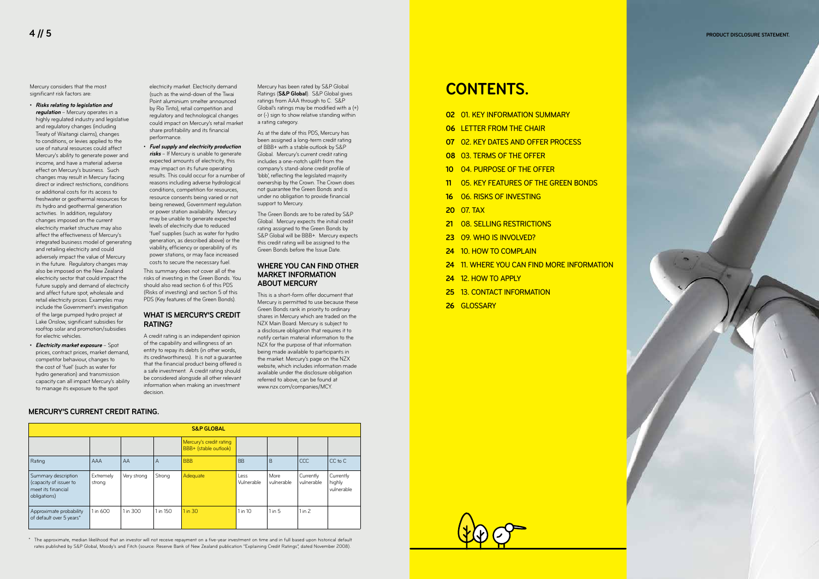IMAGE

| <b>S&amp;P GLOBAL</b>                                                               |                     |             |          |                                                  |                    |                    |                         |                                   |
|-------------------------------------------------------------------------------------|---------------------|-------------|----------|--------------------------------------------------|--------------------|--------------------|-------------------------|-----------------------------------|
|                                                                                     |                     |             |          | Mercury's credit rating<br>BBB+ (stable outlook) |                    |                    |                         |                                   |
| Rating                                                                              | AAA                 | AA          | A        | <b>BBB</b>                                       | <b>BB</b>          | B                  | CCC                     | $CC$ to $C$                       |
| Summary description<br>(capacity of issuer to<br>meet its financial<br>obligations) | Extremely<br>strong | Very strong | Strong   | Adequate                                         | Less<br>Vulnerable | More<br>vulnerable | Currently<br>vulnerable | Currently<br>highly<br>vulnerable |
| Approximate probability<br>of default over 5 years*                                 | 1 in 600            | 1 in 300    | 1 in 150 | 1 in 30                                          | 1 in 10            | $1$ in $5$         | $1$ in 2                |                                   |

\* The approximate, median likelihood that an investor will not receive repayment on a five-year investment on time and in full based upon historical default rates published by S&P Global, Moody's and Fitch (source: Reserve Bank of New Zealand publication "Explaining Credit Ratings", dated November 2008).



#### **MERCURY'S CURRENT CREDIT RATING.**

Mercury considers that the most significant risk factors are:

• **Risks relating to legislation and regulation** – Mercury operates in a highly regulated industry and legislative and regulatory changes (including Treaty of Waitangi claims), changes to conditions, or levies applied to the use of natural resources could affect Mercury's ability to generate power and income, and have a material adverse effect on Mercury's business. Such changes may result in Mercury facing direct or indirect restrictions, conditions or additional costs for its access to freshwater or geothermal resources for its hydro and geothermal generation activities. In addition, regulatory changes imposed on the current electricity market structure may also affect the effectiveness of Mercury's integrated business model of generating and retailing electricity and could adversely impact the value of Mercury in the future. Regulatory changes may also be imposed on the New Zealand electricity sector that could impact the future supply and demand of electricity and affect future spot, wholesale and retail electricity prices. Examples may include the Government's investigation of the large pumped hydro project at Lake Onslow, significant subsidies for rooftop solar and promotion/subsidies for electric vehicles.

• **Electricity market exposure** – Spot prices, contract prices, market demand, competitor behaviour, changes to the cost of 'fuel' (such as water for hydro generation) and transmission capacity can all impact Mercury's ability to manage its exposure to the spot

electricity market. Electricity demand (such as the wind-down of the Tiwai Point aluminium smelter announced by Rio Tinto), retail competition and regulatory and technological changes could impact on Mercury's retail market share profitability and its financial performance.

• **Fuel supply and electricity production risks** – If Mercury is unable to generate expected amounts of electricity, this may impact on its future operating results. This could occur for a number of reasons including adverse hydrological conditions, competition for resources, resource consents being varied or not being renewed, Government regulation or power station availability. Mercury may be unable to generate expected levels of electricity due to reduced 'fuel' supplies (such as water for hydro generation, as described above) or the viability, efficiency or operability of its power stations, or may face increased costs to secure the necessary fuel.

This summary does not cover all of the risks of investing in the Green Bonds. You should also read section 6 of this PDS (Risks of investing) and section 5 of this PDS (Key features of the Green Bonds).

#### **WHAT IS MERCURY'S CREDIT RATING?**

A credit rating is an independent opinion of the capability and willingness of an entity to repay its debts (in other words, its creditworthiness). It is not a guarantee that the financial product being offered is a safe investment. A credit rating should be considered alongside all other relevant information when making an investment decision.

Mercury has been rated by S&P Global Ratings (**S&P Global**). S&P Global gives ratings from AAA through to C. S&P Global's ratings may be modified with a (+) or (-) sign to show relative standing within a rating category.

As at the date of this PDS, Mercury has been assigned a long-term credit rating of BBB+ with a stable outlook by S&P Global. Mercury's current credit rating includes a one-notch uplift from the company's stand-alone credit profile of 'bbb', reflecting the legislated majority ownership by the Crown. The Crown does not guarantee the Green Bonds and is under no obligation to provide financial support to Mercury.

The Green Bonds are to be rated by S&P Global. Mercury expects the initial credit rating assigned to the Green Bonds by S&P Global will be BBB+. Mercury expects this credit rating will be assigned to the Green Bonds before the Issue Date.

#### **WHERE YOU CAN FIND OTHER MARKET INFORMATION ABOUT MERCURY**

This is a short-form offer document that Mercury is permitted to use because these Green Bonds rank in priority to ordinary shares in Mercury which are traded on the NZX Main Board. Mercury is subject to a disclosure obligation that requires it to notify certain material information to the NZX for the purpose of that information being made available to participants in the market. Mercury's page on the NZX website, which includes information made available under the disclosure obligation referred to above, can be found at www.nzx.com/companies/MCY.

| 02 01. KEY INFORMATION SUMMARY             |
|--------------------------------------------|
| <b>06 LETTER FROM THE CHAIR</b>            |
| <b>07 O2. KEY DATES AND OFFER PROCESS</b>  |
| <b>08 03. TERMS OF THE OFFER</b>           |
| 10 04. PURPOSE OF THE OFFER                |
| 11 05. KEY FEATURES OF THE GREEN BONDS     |
| <b>16 O6. RISKS OF INVESTING</b>           |
| <b>20 07. TAX</b>                          |
| 21 08. SELLING RESTRICTIONS                |
| 23 09. WHO IS INVOLVED?                    |
| 24 10. HOW TO COMPLAIN                     |
| 24 11. WHERE YOU CAN FIND MORE INFORMATION |
| <b>24 12. HOW TO APPLY</b>                 |

- **25** 13. CONTACT INFORMATION
- **26** GLOSSARY

### **CONTENTS.**

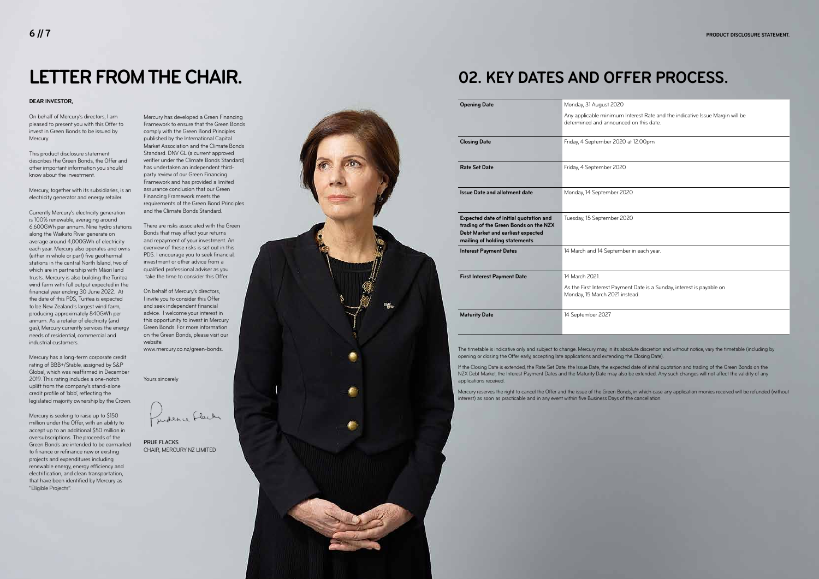# **LETTER FROM THE CHAIR.**

On behalf of Mercury's directors, I am pleased to present you with this Offer to invest in Green Bonds to be issued by Mercury.

This product disclosure statement describes the Green Bonds, the Offer and other important information you should know about the investment.

Mercury, together with its subsidiaries, is an electricity generator and energy retailer.

Currently Mercury's electricity generation is 100% renewable, averaging around 6,600GWh per annum. Nine hydro stations along the Waikato River generate on average around 4,000GWh of electricity each year. Mercury also operates and owns (either in whole or part) five geothermal stations in the central North Island, two of which are in partnership with Māori land trusts. Mercury is also building the Turitea wind farm with full output expected in the financial year ending 30 June 2022. At the date of this PDS, Turitea is expected to be New Zealand's largest wind farm, producing approximately 840GWh per annum. As a retailer of electricity (and gas), Mercury currently services the energy needs of residential, commercial and industrial customers.

Mercury has a long-term corporate credit rating of BBB+/Stable, assigned by S&P Global, which was reaffirmed in December 2019. This rating includes a one-notch uplift from the company's stand-alone credit profile of 'bbb', reflecting the legislated majority ownership by the Crown.

an Interest Rate and the indicative Issue Margin will be determined and announced on this date.

| 020 at 12.00pm      |
|---------------------|
|                     |
| 020                 |
|                     |
| r 2020              |
|                     |
| er 2020             |
|                     |
|                     |
| ember in each year. |
|                     |
|                     |

Mercury is seeking to raise up to \$150 million under the Offer, with an ability to accept up to an additional \$50 million in oversubscriptions. The proceeds of the Green Bonds are intended to be earmarked to finance or refinance new or existing projects and expenditures including renewable energy, energy efficiency and electrification, and clean transportation, that have been identified by Mercury as "Eligible Projects".

Mercury has developed a Green Financing Framework to ensure that the Green Bonds comply with the Green Bond Principles published by the International Capital Market Association and the Climate Bonds Standard. DNV GL (a current approved verifier under the Climate Bonds Standard) has undertaken an independent thirdparty review of our Green Financing Framework and has provided a limited assurance conclusion that our Green Financing Framework meets the requirements of the Green Bond Principles and the Climate Bonds Standard.

> If the Closing Date is extended, the Rate Set Date, the Issue Date, the expected date of initial quotation and trading of the Green Bonds on the NZX Debt Market, the Interest Payment Dates and the Maturity Date may also be extended. Any such changes will not affect the validity of any applications received.

There are risks associated with the Green Bonds that may affect your returns and repayment of your investment. An overview of these risks is set out in this PDS. I encourage you to seek financial, investment or other advice from a qualified professional adviser as you take the time to consider this Offer.

On behalf of Mercury's directors, I invite you to consider this Offer and seek independent financial advice. I welcome your interest in this opportunity to invest in Mercury Green Bonds. For more information on the Green Bonds, please visit our website:

www.mercury.co.nz/green-bonds.

Yours sincerely

Judence Flach

PRUE FLACKS CHAIR, MERCURY NZ LIMITED



| <b>Opening Date</b>                                                                                                                                          | Monday, 31 August 2020                                                                                        |
|--------------------------------------------------------------------------------------------------------------------------------------------------------------|---------------------------------------------------------------------------------------------------------------|
|                                                                                                                                                              | Any applicable minimum Interest Rate and the indicative Issue Margi<br>determined and announced on this date. |
| <b>Closing Date</b>                                                                                                                                          | Friday, 4 September 2020 at 12.00pm                                                                           |
| <b>Rate Set Date</b>                                                                                                                                         | Friday, 4 September 2020                                                                                      |
| <b>Issue Date and allotment date</b>                                                                                                                         | Monday, 14 September 2020                                                                                     |
| Expected date of initial quotation and<br>trading of the Green Bonds on the NZX<br><b>Debt Market and earliest expected</b><br>mailing of holding statements | Tuesday, 15 September 2020                                                                                    |
| <b>Interest Payment Dates</b>                                                                                                                                | 14 March and 14 September in each year.                                                                       |
| <b>First Interest Payment Date</b>                                                                                                                           | 14 March 2021.                                                                                                |
|                                                                                                                                                              | As the First Interest Payment Date is a Sunday, interest is payable on<br>Monday, 15 March 2021 instead.      |
| <b>Maturity Date</b>                                                                                                                                         | 14 September 2027                                                                                             |

## **02. KEY DATES AND OFFER PROCESS.**

The timetable is indicative only and subject to change. Mercury may, in its absolute discretion and without notice, vary the timetable (including by opening or closing the Offer early, accepting late applications and extending the Closing Date).

Mercury reserves the right to cancel the Offer and the issue of the Green Bonds, in which case any application monies received will be refunded (without interest) as soon as practicable and in any event within five Business Days of the cancellation.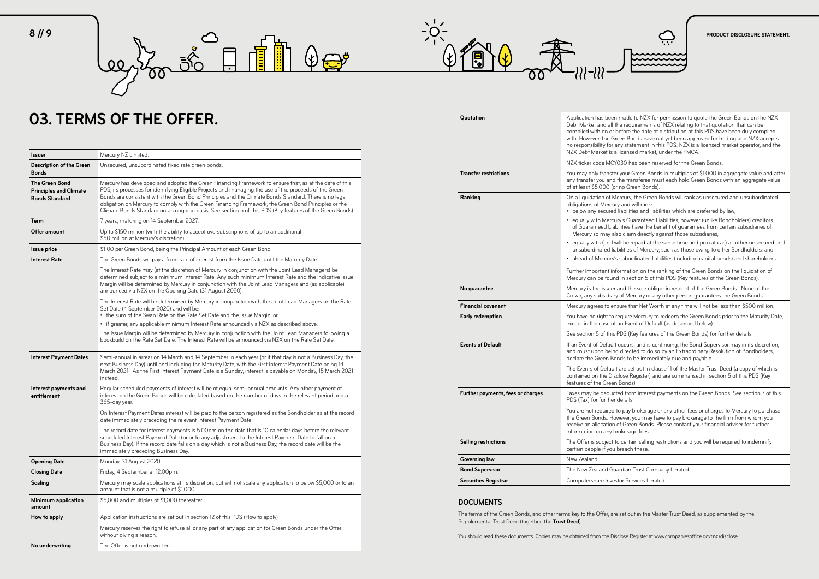| <b>Issuer</b>                                                                   | Mercury NZ Limited.                                                                                                                                                                                                                                                                                                                                                                                                                                                                                                                           |
|---------------------------------------------------------------------------------|-----------------------------------------------------------------------------------------------------------------------------------------------------------------------------------------------------------------------------------------------------------------------------------------------------------------------------------------------------------------------------------------------------------------------------------------------------------------------------------------------------------------------------------------------|
| <b>Description of the Green</b><br><b>Bonds</b>                                 | Unsecured, unsubordinated fixed rate green bonds.                                                                                                                                                                                                                                                                                                                                                                                                                                                                                             |
| <b>The Green Bond</b><br><b>Principles and Climate</b><br><b>Bonds Standard</b> | Mercury has developed and adopted the Green Financing Framework to ensure that, as at the date of this<br>PDS, its processes for identifying Eligible Projects and managing the use of the proceeds of the Green<br>Bonds are consistent with the Green Bond Principles and the Climate Bonds Standard. There is no legal<br>obligation on Mercury to comply with the Green Financing Framework, the Green Bond Principles or the<br>Climate Bonds Standard on an ongoing basis. See section 5 of this PDS (Key features of the Green Bonds). |
| Term                                                                            | 7 years, maturing on 14 September 2027.                                                                                                                                                                                                                                                                                                                                                                                                                                                                                                       |
| Offer amount                                                                    | Up to \$150 million (with the ability to accept oversubscriptions of up to an additional<br>\$50 million at Mercury's discretion).                                                                                                                                                                                                                                                                                                                                                                                                            |
| <b>Issue price</b>                                                              | \$1.00 per Green Bond, being the Principal Amount of each Green Bond.                                                                                                                                                                                                                                                                                                                                                                                                                                                                         |
| <b>Interest Rate</b>                                                            | The Green Bonds will pay a fixed rate of interest from the Issue Date until the Maturity Date.                                                                                                                                                                                                                                                                                                                                                                                                                                                |
|                                                                                 | The Interest Rate may (at the discretion of Mercury in conjunction with the Joint Lead Managers) be<br>determined subject to a minimum Interest Rate. Any such minimum Interest Rate and the indicative Issue<br>Margin will be determined by Mercury in conjunction with the Joint Lead Managers and (as applicable)<br>announced via NZX on the Opening Date (31 August 2020).                                                                                                                                                              |
|                                                                                 | The Interest Rate will be determined by Mercury in conjunction with the Joint Lead Managers on the Rate<br>Set Date (4 September 2020) and will be:<br>• the sum of the Swap Rate on the Rate Set Date and the Issue Margin; or                                                                                                                                                                                                                                                                                                               |
|                                                                                 | • if greater, any applicable minimum Interest Rate announced via NZX as described above.                                                                                                                                                                                                                                                                                                                                                                                                                                                      |
|                                                                                 | The Issue Margin will be determined by Mercury in conjunction with the Joint Lead Managers following a<br>bookbuild on the Rate Set Date. The Interest Rate will be announced via NZX on the Rate Set Date.                                                                                                                                                                                                                                                                                                                                   |
| <b>Interest Payment Dates</b>                                                   | Semi-annual in arrear on 14 March and 14 September in each year (or if that day is not a Business Day, the<br>next Business Day) until and including the Maturity Date, with the First Interest Payment Date being 14<br>March 2021. As the First Interest Payment Date is a Sunday, interest is payable on Monday, 15 March 2021<br>instead.                                                                                                                                                                                                 |
| Interest payments and<br>entitlement                                            | Regular scheduled payments of interest will be of equal semi-annual amounts. Any other payment of<br>interest on the Green Bonds will be calculated based on the number of days in the relevant period and a<br>365-day year.                                                                                                                                                                                                                                                                                                                 |
|                                                                                 | On Interest Payment Dates interest will be paid to the person registered as the Bondholder as at the record<br>date immediately preceding the relevant Interest Payment Date.                                                                                                                                                                                                                                                                                                                                                                 |
|                                                                                 | The record date for interest payments is 5.00pm on the date that is 10 calendar days before the relevant<br>scheduled Interest Payment Date (prior to any adjustment to the Interest Payment Date to fall on a<br>Business Day). If the record date falls on a day which is not a Business Day, the record date will be the<br>immediately preceding Business Day.                                                                                                                                                                            |
| <b>Opening Date</b>                                                             | Monday, 31 August 2020.                                                                                                                                                                                                                                                                                                                                                                                                                                                                                                                       |
| <b>Closing Date</b>                                                             | Friday, 4 September at 12.00pm.                                                                                                                                                                                                                                                                                                                                                                                                                                                                                                               |
| <b>Scaling</b>                                                                  | Mercury may scale applications at its discretion, but will not scale any application to below \$5,000 or to an<br>amount that is not a multiple of \$1,000.                                                                                                                                                                                                                                                                                                                                                                                   |
| <b>Minimum application</b><br>amount                                            | \$5,000 and multiples of \$1,000 thereafter.                                                                                                                                                                                                                                                                                                                                                                                                                                                                                                  |
| How to apply                                                                    | Application instructions are set out in section 12 of this PDS (How to apply).                                                                                                                                                                                                                                                                                                                                                                                                                                                                |
|                                                                                 | Mercury reserves the right to refuse all or any part of any application for Green Bonds under the Offer<br>without giving a reason.                                                                                                                                                                                                                                                                                                                                                                                                           |
| No underwriting                                                                 | The Offer is not underwritten.                                                                                                                                                                                                                                                                                                                                                                                                                                                                                                                |

**Transfer restrictions** You may only transfer your Green Bonds in multiples of \$1,000 in aggregate value and after he transferee must each hold Green Bonds with an aggregate value no Green Bonds).

**Ranking** On a liquidation of Mercury, the Green Bonds will rank as unsecured and unsubordinated and will rank:

iabilities and liabilities which are preferred by law;

v's Guaranteed Liabilities, however (unlike Bondholders) creditors lities have the benefit of quarantees from certain subsidiaries of claim directly against those subsidiaries;

be repaid at the same time and pro rata as) all other unsecured and ilities of Mercury, such as those owing to other Bondholders; and subordinated liabilities (including capital bonds) and shareholders.

rmation on the ranking of the Green Bonds on the liquidation of in section 5 of this PDS (Key features of the Green Bonds).

nd the sole obligor in respect of the Green Bonds. None of the of Mercury or any other person guarantees the Green Bonds.

**Events of Default** If an Event of Default occurs, and is continuing, the Bond Supervisor may in its discretion, directed to do so by an Extraordinary Resolution of Bondholders, ds to be immediately due and payable.

are set out in clause 11 of the Master Trust Deed (a copy of which is lose Register) and are summarised in section 5 of this PDS (Key Bonds).

**Further payments, fees or charges** Taxes may be deducted from interest payments on the Green Bonds. See section 7 of this Palails

pay brokerage or any other fees or charges to Mercury to purchase theren you may have to pay brokerage to the firm from whom you Green Bonds. Please contact your financial adviser for further okerage fees.

certain selling restrictions and you will be required to indemnify reach these.

**Rolan Trust Company Limited.** or Services Limited.



**Financial covenant** Mercury agrees to ensure that Net Worth at any time will not be less than \$500 million.

**Equire Mercury to redeem the Green Bonds prior to the Maturity Date,** an Event of Default (as described below).

PDS (Key features of the Green Bonds) for further details.

| Quotation                         | Application has been n<br>Debt Market and all the<br>complied with on or be<br>with. However, the Gree<br>no responsibility for any<br>NZX Debt Market is a li                                                                                                                     |
|-----------------------------------|------------------------------------------------------------------------------------------------------------------------------------------------------------------------------------------------------------------------------------------------------------------------------------|
|                                   | NZX ticker code MCY0.                                                                                                                                                                                                                                                              |
| <b>Transfer restrictions</b>      | You may only transfer y<br>any transfer you and th<br>of at least \$5,000 (or n                                                                                                                                                                                                    |
| Ranking                           | On a liquidation of Mer<br>obligations of Mercury<br>• below any secured lia<br>equally with Mercury<br>of Guaranteed Liabil<br>Mercury so may also<br>equally with (and will<br>unsubordinated liabi<br>ahead of Mercury's s<br>Further important infor<br>Mercury can be found i |
| No guarantee                      | Mercury is the issuer ar<br>Crown, any subsidiary o                                                                                                                                                                                                                                |
| <b>Financial covenant</b>         | Mercury agrees to ensu                                                                                                                                                                                                                                                             |
| Early redemption                  | You have no right to reo<br>except in the case of ar                                                                                                                                                                                                                               |
|                                   | See section 5 of this PI                                                                                                                                                                                                                                                           |
| <b>Events of Default</b>          | If an Event of Default o<br>and must upon being o<br>declare the Green Bond<br>The Events of Default a<br>contained on the Disclo                                                                                                                                                  |
|                                   | features of the Green B                                                                                                                                                                                                                                                            |
| Further payments, fees or charges | Taxes may be deducted<br>PDS (Tax) for further de                                                                                                                                                                                                                                  |
|                                   | You are not required to<br>the Green Bonds. Howe<br>receive an allocation of<br>information on any bro                                                                                                                                                                             |
| <b>Selling restrictions</b>       | The Offer is subject to<br>certain people if you br                                                                                                                                                                                                                                |
|                                   |                                                                                                                                                                                                                                                                                    |
| <b>Governing law</b>              | New Zealand.                                                                                                                                                                                                                                                                       |
| <b>Bond Supervisor</b>            | The New Zealand Guar                                                                                                                                                                                                                                                               |

#### **DOCUMENTS**

The terms of the Green Bonds, and other terms key to the Offer, are set out in the Master Trust Deed, as supplemented by the Supplemental Trust Deed (together, the **Trust Deed**).

You should read these documents. Copies may be obtained from the Disclose Register at www.companiesoffice.govt.nz/disclose.



e requirements of NZX relating to that quotation that can be efore the date of distribution of this PDS have been duly complied en Bonds have not yet been approved for trading and NZX accepts ny statement in this PDS. NZX is a licensed market operator, and the icensed market, under the FMCA.

 $0.30$  has been reserved for the Green Bonds.

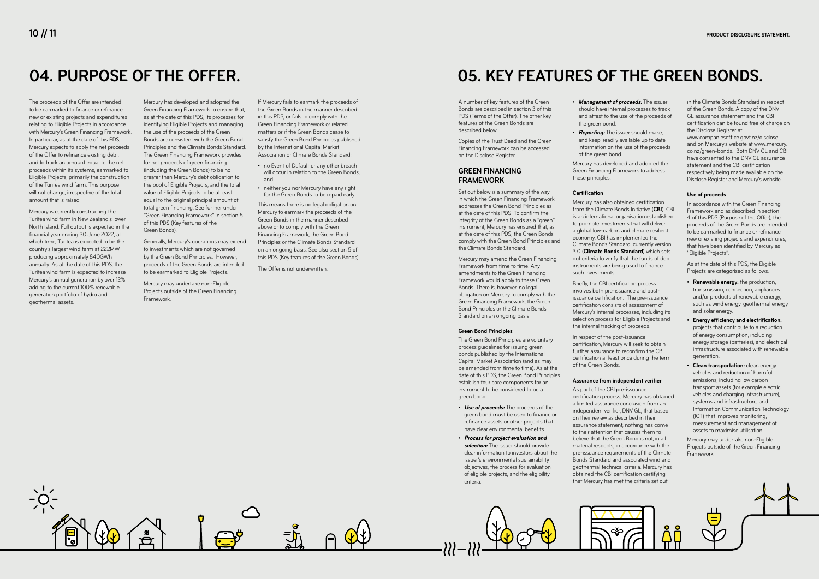## **04. PURPOSE OF THE OFFER.**

The proceeds of the Offer are intended to be earmarked to finance or refinance new or existing projects and expenditures relating to Eligible Projects in accordance with Mercury's Green Financing Framework. In particular, as at the date of this PDS, Mercury expects to apply the net proceeds of the Offer to refinance existing debt, and to track an amount equal to the net proceeds within its systems, earmarked to Eligible Projects, primarily the construction of the Turitea wind farm. This purpose will not change, irrespective of the total amount that is raised.

Mercury is currently constructing the Turitea wind farm in New Zealand's lower North Island. Full output is expected in the financial year ending 30 June 2022, at which time, Turitea is expected to be the country's largest wind farm at 222MW, producing approximately 840GWh annually. As at the date of this PDS, the Turitea wind farm is expected to increase Mercury's annual generation by over 12%, adding to the current 100% renewable generation portfolio of hydro and geothermal assets.

Mercury has developed and adopted the Green Financing Framework to ensure that, as at the date of this PDS, its processes for identifying Eligible Projects and managing the use of the proceeds of the Green Bonds are consistent with the Green Bond Principles and the Climate Bonds Standard. The Green Financing Framework provides for net proceeds of green financing (including the Green Bonds) to be no greater than Mercury's debt obligation to the pool of Eligible Projects, and the total value of Eligible Projects to be at least equal to the original principal amount of total green financing. See further under "Green Financing Framework" in section 5 of this PDS (Key features of the Green Bonds).

Generally, Mercury's operations may extend to investments which are not governed by the Green Bond Principles. However, proceeds of the Green Bonds are intended to be earmarked to Eligible Projects.

Mercury may undertake non-Eligible Projects outside of the Green Financing Framework.

If Mercury fails to earmark the proceeds of the Green Bonds in the manner described in this PDS, or fails to comply with the Green Financing Framework or related matters or if the Green Bonds cease to satisfy the Green Bond Principles published by the International Capital Market Association or Climate Bonds Standard:

- no Event of Default or any other breach will occur in relation to the Green Bonds: and
- neither you nor Mercury have any right for the Green Bonds to be repaid early.

This means there is no legal obligation on Mercury to earmark the proceeds of the Green Bonds in the manner described above or to comply with the Green Financing Framework, the Green Bond Principles or the Climate Bonds Standard on an ongoing basis. See also section 5 of this PDS (Key features of the Green Bonds).

The Offer is not underwritten.

## **05. KEY FEATURES OF THE GREEN BONDS.**

A number of key features of the Green Bonds are described in section 3 of this PDS (Terms of the Offer). The other key features of the Green Bonds are described below.

Copies of the Trust Deed and the Green Financing Framework can be accessed on the Disclose Register.

#### **GREEN FINANCING FRAMEWORK**

Set out below is a summary of the way in which the Green Financing Framework addresses the Green Bond Principles as at the date of this PDS. To confirm the integrity of the Green Bonds as a "green" instrument, Mercury has ensured that, as at the date of this PDS, the Green Bonds comply with the Green Bond Principles and the Climate Bonds Standard.

Mercury may amend the Green Financing Framework from time to time. Any amendments to the Green Financing Framework would apply to these Green Bonds. There is, however, no legal obligation on Mercury to comply with the Green Financing Framework, the Green Bond Principles or the Climate Bonds Standard on an ongoing basis.

#### **Green Bond Principles**

The Green Bond Principles are voluntary process guidelines for issuing green bonds published by the International Capital Market Association (and as may be amended from time to time). As at the date of this PDS, the Green Bond Principles establish four core components for an instrument to be considered to be a green bond:

- **Use of proceeds:** The proceeds of the green bond must be used to finance or refinance assets or other projects that have clear environmental benefits.
- **Process for project evaluation and selection:** The issuer should provide clear information to investors about the issuer's environmental sustainability objectives; the process for evaluation of eligible projects; and the eligibility criteria.

• **Management of proceeds:** The issuer should have internal processes to track and attest to the use of the proceeds of

# the green bond.

• **Reporting:** The issuer should make, and keep, readily available up to date information on the use of the proceeds of the green bond.

Mercury has developed and adopted the Green Financing Framework to address these principles.

#### **Certification**

Mercury has also obtained certification from the Climate Bonds Initiative (**CBI**). CBI is an international organisation established to promote investments that will deliver a global low-carbon and climate resilient economy. CBI has implemented the Climate Bonds Standard, currently version 3.0 (**Climate Bonds Standard**) which sets out criteria to verify that the funds of debt instruments are being used to finance such investments.

Briefly, the CBI certification process involves both pre-issuance and postissuance certification. The pre-issuance certification consists of assessment of Mercury's internal processes, including its selection process for Eligible Projects and the internal tracking of proceeds.

In respect of the post-issuance certification, Mercury will seek to obtain further assurance to reconfirm the CBI certification at least once during the term of the Green Bonds.

#### **Assurance from independent verifier**

As part of the CBI pre-issuance certification process, Mercury has obtained a limited assurance conclusion from an independent verifier, DNV GL, that based on their review as described in their assurance statement, nothing has come to their attention that causes them to believe that the Green Bond is not, in all material respects, in accordance with the pre-issuance requirements of the Climate Bonds Standard and associated wind and geothermal technical criteria. Mercury has obtained the CBI certification certifying that Mercury has met the criteria set out



in the Climate Bonds Standard in respect of the Green Bonds. A copy of the DNV GL assurance statement and the CBI certification can be found free of charge on the Disclose Register at www.companiesoffice.govt.nz/disclose

and on Mercury's website at www.mercury. co.nz/green-bonds. Both DNV GL and CBI have consented to the DNV GL assurance statement and the CBI certification respectively being made available on the Disclose Register and Mercury's website.

#### **Use of proceeds**

In accordance with the Green Financing Framework and as described in section 4 of this PDS (Purpose of the Offer), the proceeds of the Green Bonds are intended to be earmarked to finance or refinance new or existing projects and expenditures, that have been identified by Mercury as "Eligible Projects".

As at the date of this PDS, the Eligible Projects are categorised as follows:

- **• Renewable energy:** the production, transmission, connection, appliances and/or products of renewable energy, such as wind energy, geothermal energy, and solar energy.
- **• Energy efficiency and electrification:** projects that contribute to a reduction of energy consumption, including energy storage (batteries), and electrical infrastructure associated with renewable generation.
- **• Clean transportation:** clean energy vehicles and reduction of harmful emissions, including low carbon transport assets (for example electric vehicles and charging infrastructure), systems and infrastructure, and Information Communication Technology (ICT) that improves monitoring, measurement and management of assets to maximise utilisation.

Mercury may undertake non-Eligible Projects outside of the Green Financing Framework.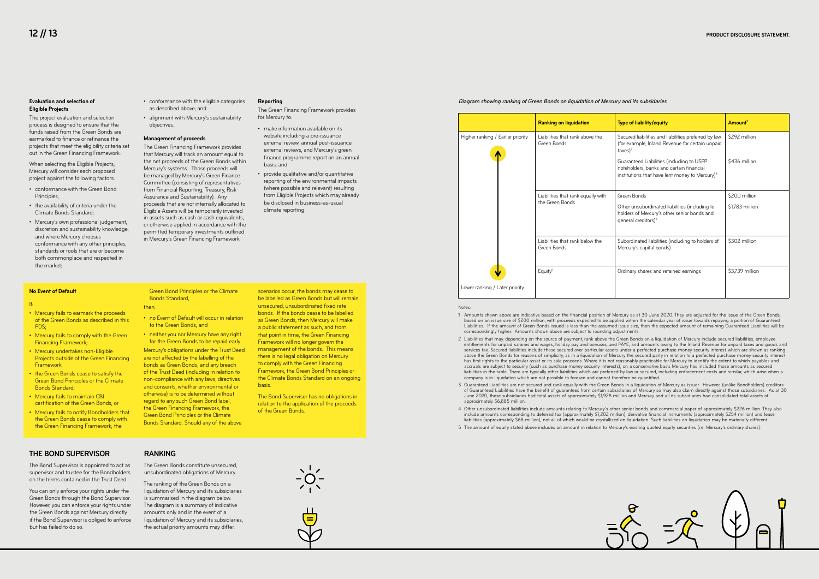

#### Notos:

| <b>Ranking on liquidation</b>                  | <b>Type of liability/equity</b>                                                                                                                     | Amount <sup>1</sup> |
|------------------------------------------------|-----------------------------------------------------------------------------------------------------------------------------------------------------|---------------------|
| Liabilities that rank above the<br>Green Bonds | Secured liabilities and liabilities preferred by law<br>(for example, Inland Revenue for certain unpaid<br>$\text{taxes}$ <sup>2</sup>              | \$292 million       |
|                                                | Guaranteed Liabilities (including to USPP<br>noteholders, banks and certain financial<br>institutions that have lent money to Mercury) <sup>3</sup> | \$436 million       |
| Liabilities that rank equally with             | Green Bonds                                                                                                                                         | \$200 million       |
| the Green Bonds                                | Other unsubordinated liabilities (including to<br>holders of Mercury's other senior bonds and<br>general creditors) <sup>4</sup>                    | \$1,783 million     |
| Liabilities that rank below the<br>Green Bonds | Subordinated liabilities (including to holders of<br>Mercury's capital bonds)                                                                       | \$302 million       |
| Equity <sup>5</sup>                            | Ordinary shares and retained earnings                                                                                                               | \$3,739 million     |

entitlements for unpaid salaries and wages, holiday pay and bonuses, and PAYE, and amounts owing to the Inland Revenue for unpaid taxes and goods and services tax. Secured liabilities include those secured over particular assets under a perfected purchase money security interest, which are shown as ranking above the Green Bonds for reasons of simplicity, as in a liquidation of Mercury the secured party in relation to a perfected purchase money security interest has first rights to the particular asset or its sale proceeds. Where it is not reasonably practicable for Mercury to identify the extent to which payables and liabilities in the table. There are typically other liabilities which are preferred by law or secured, including enforcement costs and similar, which arise when a

based on an issue size of \$200 million, with proceeds expected to be applied within the calendar year of issue towards repaying a portion of Guaranteed Liabilities. If the amount of Green Bonds issued is less than the assumed issue size, then the expected amount of remaining Guaranteed Liabilities will be

You can only enforce your rights under the Green Bonds through the Bond Supervisor. However, you can enforce your rights under the Green Bonds against Mercury directly if the Bond Supervisor is obliged to enforce but has failed to do so.

- 1 Amounts shown above are indicative based on the financial position of Mercury as at 30 June 2020. They are adjusted for the issue of the Green Bonds, correspondingly higher. Amounts shown above are subject to rounding adjustments.
- 2 Liabilities that may, depending on the source of payment, rank above the Green Bonds on a liquidation of Mercury include secured liabilities, employee accruals are subject to security (such as purchase money security interests), on a conservative basis Mercury has included those amounts as secured company is in liquidation which are not possible to foresee and cannot therefore be quantified.
- June 2020, these subsidiaries had total assets of approximately \$1,928 million and Mercury and all its subsidiaries had consolidated total assets of approximately \$6,885 million.
- include amounts corresponding to deferred tax (approximately \$1,202 million), derivative financial instruments (approximately \$254 million) and lease liabilities (approximately \$68 million), not all of which would be crystallised on liquidation. Such liabilities on liquidation may be materially different.
- 5 The amount of equity stated above includes an amount in relation to Mercury's existing quoted equity securities (i.e. Mercury's ordinary shares).
- no Event of Default will occur in relation to the Green Bonds; and
- neither you nor Mercury have any right for the Green Bonds to be repaid early.

3 Guaranteed Liabilities are not secured and rank equally with the Green Bonds in a liquidation of Mercury as issuer. However, (unlike Bondholders) creditors of Guaranteed Liabilities have the benefit of guarantees from certain subsidiaries of Mercury so may also claim directly against those subsidiaries. As at 30

be labelled as Green Bonds but will remain unsecured, unsubordinated fixed rate bonds. If the bonds cease to be labelled as Green Bonds, then Mercury will make a public statement as such, and from that point in time, the Green Financing Framework will no longer govern the management of the bonds. This means there is no legal obligation on Mercury to comply with the Green Financing Framework, the Green Bond Principles or the Climate Bonds Standard on an ongoing hasis

4 Other unsubordinated liabilities include amounts relating to Mercury's other senior bonds and commercial paper of approximately \$226 million. They also



### Diagram showing ranking of Green Bonds on liquidation of Mercury and its subsidaries

#### **THE BOND SUPERVISOR**

The Bond Supervisor is appointed to act as supervisor and trustee for the Bondholders on the terms contained in the Trust Deed.

### **RANKING**

The Green Bonds constitute unsecured, unsubordinated obligations of Mercury.

The ranking of the Green Bonds on a liquidation of Mercury and its subsidiaries is summarised in the diagram below. The diagram is a summary of indicative amounts only and in the event of a liquidation of Mercury and its subsidiaries, the actual priority amounts may differ.



#### **No Event of Default**

#### If:

- Mercury fails to earmark the proceeds of the Green Bonds as described in this PDS;
- Mercury fails to comply with the Green Financing Framework;
- Mercury undertakes non-Eligible Projects outside of the Green Financing Framework;
- the Green Bonds cease to satisfy the **Green Bond Principles or the Climate** Bonds Standard;
- Mercury fails to maintain CBI certification of the Green Bonds; or
- Mercury fails to notify Bondholders that the Green Bonds cease to comply with the Green Financing Framework, the

Green Bond Principles or the Climate

Bonds Standard,

### then:

Mercury's obligations under the Trust Deed are not affected by the labelling of the bonds as Green Bonds, and any breach of the Trust Deed (including in relation to non-compliance with any laws, directives and consents, whether environmental or otherwise) is to be determined without regard to any such Green Bond label, the Green Financing Framework, the **Green Bond Principles or the Climate** Bonds Standard. Should any of the above

scenarios occur, the bonds may cease to

The Bond Supervisor has no obligations in relation to the application of the proceeds of the Green Bonds.

#### **Evaluation and selection of Eligible Projects**

The project evaluation and selection process is designed to ensure that the funds raised from the Green Bonds are earmarked to finance or refinance the projects that meet the eligibility criteria set out in the Green Financing Framework.

When selecting the Eligible Projects, Mercury will consider each proposed project against the following factors:

- conformance with the Green Bond Principles;
- the availability of criteria under the Climate Bonds Standard;
- Mercury's own professional judgement, discretion and sustainability knowledge; and where Mercury chooses conformance with any other principles, standards or tools that are or become both commonplace and respected in the market;
- conformance with the eligible categories as described above; and
- alignment with Mercury's sustainability objectives.

#### **Management of proceeds**

The Green Financing Framework provides that Mercury will track an amount equal to the net proceeds of the Green Bonds within Mercury's systems. Those proceeds will be managed by Mercury's Green Finance Committee (consisting of representatives from Financial Reporting, Treasury, Risk Assurance and Sustainability). Any proceeds that are not internally allocated to Eligible Assets will be temporarily invested in assets such as cash or cash equivalents, or otherwise applied in accordance with the permitted temporary investments outlined in Mercury's Green Financing Framework.

#### **Reporting**

The Green Financing Framework provides for Mercury to:

- make information available on its website including a pre-issuance external review, annual post-issuance external reviews, and Mercury's green finance programme report on an annual basis; and
- provide qualitative and/or quantitative reporting of the environmental impacts (where possible and relevant) resulting from Eligible Projects which may already be disclosed in business-as-usual climate reporting.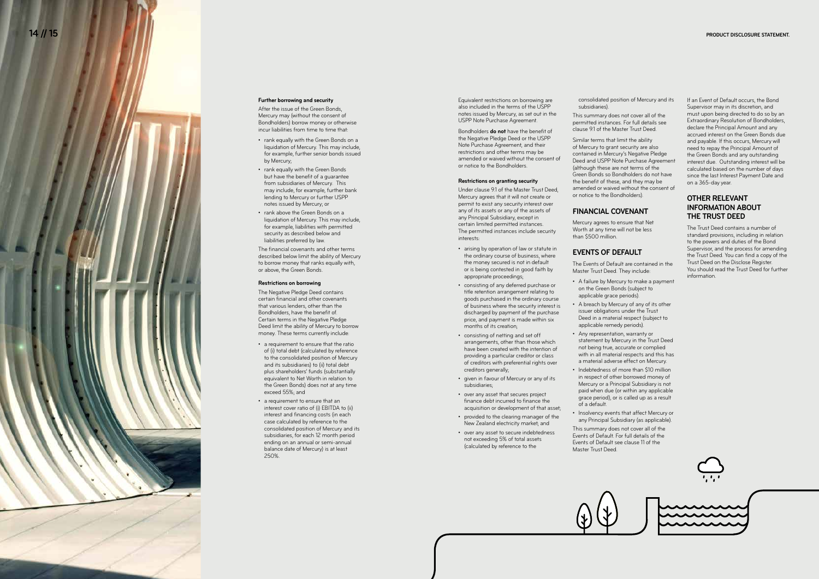#### **Further borrowing and security**

After the issue of the Green Bonds, Mercury may (without the consent of Bondholders) borrow money or otherwise incur liabilities from time to time that:

- rank equally with the Green Bonds on a liquidation of Mercury. This may include, for example, further senior bonds issued by Mercury;
- rank equally with the Green Bonds but have the benefit of a guarantee from subsidiaries of Mercury. This may include, for example, further bank lending to Mercury or further USPP notes issued by Mercury; or
- rank above the Green Bonds on a liquidation of Mercury. This may include, for example, liabilities with permitted security as described below and liabilities preferred by law.

The financial covenants and other terms described below limit the ability of Mercury to borrow money that ranks equally with, or above, the Green Bonds.

#### **Restrictions on borrowing**

The Negative Pledge Deed contains certain financial and other covenants that various lenders, other than the Bondholders, have the benefit of. Certain terms in the Negative Pledge Deed limit the ability of Mercury to borrow money. These terms currently include:

- a requirement to ensure that the ratio of (i) total debt (calculated by reference to the consolidated position of Mercury and its subsidiaries) to (ii) total debt plus shareholders' funds (substantially equivalent to Net Worth in relation to the Green Bonds) does not at any time exceed 55%; and
- a requirement to ensure that an interest cover ratio of (i) EBITDA to (ii) interest and financing costs (in each case calculated by reference to the consolidated position of Mercury and its subsidiaries, for each 12 month period ending on an annual or semi-annual balance date of Mercury) is at least 250%.

Equivalent restrictions on borrowing are also included in the terms of the USPP notes issued by Mercury, as set out in the USPP Note Purchase Agreement.

Bondholders **do not** have the benefit of the Negative Pledge Deed or the USPP Note Purchase Agreement, and their restrictions and other terms may be amended or waived without the consent of or notice to the Bondholders.

#### **Restrictions on granting security**

Under clause 9.1 of the Master Trust Deed, Mercury agrees that it will not create or permit to exist any security interest over any of its assets or any of the assets of any Principal Subsidiary, except in certain limited permitted instances. The permitted instances include security interests:

- arising by operation of law or statute in the ordinary course of business, where the money secured is not in default or is being contested in good faith by appropriate proceedings;
- consisting of any deferred purchase or title retention arrangement relating to goods purchased in the ordinary course of business where the security interest is discharged by payment of the purchase price, and payment is made within six months of its creation;
- consisting of netting and set off arrangements, other than those which have been created with the intention of providing a particular creditor or class of creditors with preferential rights over creditors generally;
- given in favour of Mercury or any of its subsidiaries;
- over any asset that secures project finance debt incurred to finance the acquisition or development of that asset;
- provided to the clearing manager of the New Zealand electricity market; and
- over any asset to secure indebtedness not exceeding 5% of total assets (calculated by reference to the

consolidated position of Mercury and its

subsidiaries).

This summary does not cover all of the permitted instances. For full details see clause 9.1 of the Master Trust Deed.

Similar terms that limit the ability of Mercury to grant security are also contained in Mercury's Negative Pledge Deed and USPP Note Purchase Agreement (although these are not terms of the Green Bonds so Bondholders do not have the benefit of these, and they may be amended or waived without the consent of or notice to the Bondholders).

#### **FINANCIAL COVENANT**

Mercury agrees to ensure that Net Worth at any time will not be less than \$500 million.

### **EVENTS OF DEFAULT**

The Events of Default are contained in the

Master Trust Deed. They include:

- A failure by Mercury to make a payment on the Green Bonds (subject to applicable grace periods).
- A breach by Mercury of any of its other issuer obligations under the Trust Deed in a material respect (subject to applicable remedy periods).
- Any representation, warranty or statement by Mercury in the Trust Deed not being true, accurate or complied with in all material respects and this has a material adverse effect on Mercury.
- Indebtedness of more than \$10 million in respect of other borrowed money of Mercury or a Principal Subsidiary is not paid when due (or within any applicable grace period), or is called up as a result of a default.
- Insolvency events that affect Mercury or any Principal Subsidiary (as applicable). This summary does not cover all of the Events of Default. For full details of the

Events of Default see clause 11 of the Master Trust Deed.



If an Event of Default occurs, the Bond Supervisor may in its discretion, and must upon being directed to do so by an Extraordinary Resolution of Bondholders, declare the Principal Amount and any accrued interest on the Green Bonds due and payable. If this occurs, Mercury will need to repay the Principal Amount of the Green Bonds and any outstanding interest due. Outstanding interest will be calculated based on the number of days since the last Interest Payment Date and on a 365-day year.

#### **OTHER RELEVANT INFORMATION ABOUT THE TRUST DEED**

The Trust Deed contains a number of standard provisions, including in relation to the powers and duties of the Bond Supervisor, and the process for amending the Trust Deed. You can find a copy of the Trust Deed on the Disclose Register. You should read the Trust Deed for further information.





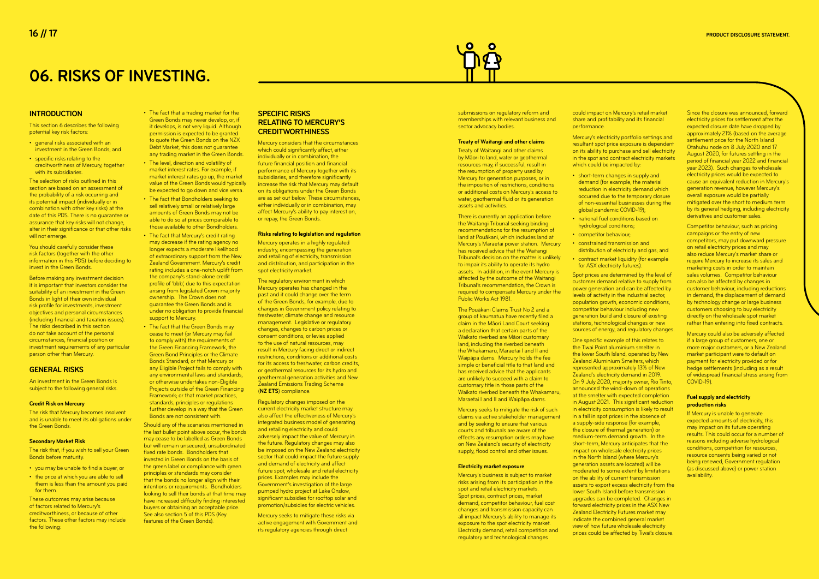## **06. RISKS OF INVESTING.**

#### **INTRODUCTION**

- general risks associated with an investment in the Green Bonds; and
- specific risks relating to the creditworthiness of Mercury, together with its subsidiaries.

This section 6 describes the following potential key risk factors:

The selection of risks outlined in this section are based on an assessment of the probability of a risk occurring and its potential impact (individually or in combination with other key risks) at the date of this PDS. There is no guarantee or assurance that key risks will not change, alter in their significance or that other risks will not emerge.

You should carefully consider these risk factors (together with the other information in this PDS) before deciding to invest in the Green Bonds.

An investment in the Green Bonds is subject to the following general risks.

Before making any investment decision it is important that investors consider the suitability of an investment in the Green Bonds in light of their own individual risk profile for investments, investment objectives and personal circumstances (including financial and taxation issues). The risks described in this section do not take account of the personal circumstances, financial position or investment requirements of any particular person other than Mercury.

#### **GENERAL RISKS**

#### **Credit Risk on Mercury**

The risk that Mercury becomes insolvent and is unable to meet its obligations under the Green Bonds.

#### **Secondary Market Risk**

The risk that, if you wish to sell your Green Bonds before maturity:

- you may be unable to find a buyer; or
- the price at which you are able to sell them is less than the amount you paid for them.

These outcomes may arise because of factors related to Mercury's creditworthiness, or because of other factors. These other factors may include the following:

- The fact that a trading market for the Green Bonds may never develop, or, if it develops, is not very liquid. Although permission is expected to be granted to quote the Green Bonds on the NZX Debt Market, this does not guarantee any trading market in the Green Bonds.
- The level, direction and volatility of market interest rates. For example, if market interest rates go up, the market value of the Green Bonds would typically be expected to go down and vice versa.
- The fact that Bondholders seeking to sell relatively small or relatively large amounts of Green Bonds may not be able to do so at prices comparable to those available to other Bondholders.
- The fact that Mercury's credit rating may decrease if the rating agency no longer expects a moderate likelihood of extraordinary support from the New Zealand Government. Mercury's credit rating includes a one-notch uplift from the company's stand-alone credit profile of 'bbb', due to this expectation arising from legislated Crown majority ownership. The Crown does not guarantee the Green Bonds and is under no obligation to provide financial support to Mercury.
- The fact that the Green Bonds may cease to meet (or Mercury may fail to comply with) the requirements of the Green Financing Framework, the Green Bond Principles or the Climate Bonds Standard; or that Mercury or any Eligible Project fails to comply with any environmental laws and standards, or otherwise undertakes non-Eligible Projects outside of the Green Financing Framework; or that market practices, standards, principles or regulations further develop in a way that the Green Bonds are not consistent with.

Should any of the scenarios mentioned in the last bullet point above occur, the bonds may cease to be labelled as Green Bonds but will remain unsecured, unsubordinated fixed rate bonds. Bondholders that invested in Green Bonds on the basis of the green label or compliance with green principles or standards may consider that the bonds no longer align with their intentions or requirements. Bondholders looking to sell their bonds at that time may have increased difficulty finding interested buyers or obtaining an acceptable price. See also section 5 of this PDS (Key features of the Green Bonds).

#### **SPECIFIC RISKS RELATING TO MERCURY'S CREDITWORTHINESS**

Mercury's electricity portfolio settings and resultant spot price exposure is dependent on its ability to purchase and sell electricity in the spot and contract electricity markets which could be impacted by:

Mercury considers that the circumstances which could significantly affect, either individually or in combination, the future financial position and financial performance of Mercury together with its subsidiaries, and therefore significantly increase the risk that Mercury may default on its obligations under the Green Bonds are as set out below. These circumstances, either individually or in combination, may affect Mercury's ability to pay interest on, or repay, the Green Bonds.

#### **Risks relating to legislation and regulation**

Mercury operates in a highly regulated industry, encompassing the generation and retailing of electricity, transmission and distribution, and participation in the spot electricity market.

The regulatory environment in which Mercury operates has changed in the past and it could change over the term of the Green Bonds, for example, due to changes in Government policy relating to freshwater, climate change and resource management. Legislative or regulatory changes, changes to carbon prices or consent conditions, or levies applied to the use of natural resources, may result in Mercury facing direct or indirect restrictions, conditions or additional costs for its access to freshwater, carbon credits, or geothermal resources for its hydro and geothermal generation activities and New Zealand Emissions Trading Scheme (**NZ ETS**) compliance.

Since the closure was announced, forward electricity prices for settlement after the expected closure date have dropped by approximately 21% (based on the average settlement price for the North Island Otahuhu node on 8 July 2020 and 17 August 2020, for futures settling in the period of financial year 2022 and financial year 2023). Such changes to wholesale electricity prices would be expected to cause an equivalent reduction in Mercury's generation revenue, however Mercury's overall exposure would be partially mitigated over the short to medium term by its general hedging, including electricity derivatives and customer sales.

Regulatory changes imposed on the current electricity market structure may also affect the effectiveness of Mercury's integrated business model of generating and retailing electricity and could adversely impact the value of Mercury in the future. Regulatory changes may also be imposed on the New Zealand electricity sector that could impact the future supply and demand of electricity and affect future spot, wholesale and retail electricity prices. Examples may include the Government's investigation of the large pumped hydro project at Lake Onslow, significant subsidies for rooftop solar and promotion/subsidies for electric vehicles.

Mercury seeks to mitigate these risks via active engagement with Government and its regulatory agencies through direct

submissions on regulatory reform and memberships with relevant business and sector advocacy bodies.

#### **Treaty of Waitangi and other claims**

Treaty of Waitangi and other claims by Māori to land, water or geothermal resources may, if successful, result in the resumption of property used by Mercury for generation purposes, or in the imposition of restrictions, conditions or additional costs on Mercury's access to water, geothermal fluid or its generation assets and activities.

There is currently an application before the Waitangi Tribunal seeking binding recommendations for the resumption of land at Pouākani, which includes land at Mercury's Maraetai power station. Mercury has received advice that the Waitangi Tribunal's decision on the matter is unlikely to impair its ability to operate its hydro assets. In addition, in the event Mercury is affected by the outcome of the Waitangi Tribunal's recommendation, the Crown is required to compensate Mercury under the Public Works Act 1981.

The Pouākani Claims Trust No 2 and a group of kaumatua have recently filed a claim in the Māori Land Court seeking a declaration that certain parts of the Waikato riverbed are Māori customary land, including the riverbed beneath the Whakamaru, Maraetai I and II and Waipāpa dams. Mercury holds the fee simple or beneficial title to that land and has received advice that the applicants are unlikely to succeed with a claim to customary title in those parts of the Waikato riverbed beneath the Whakamaru, Maraetai I and II and Waipāpa dams.

Mercury seeks to mitigate the risk of such claims via active stakeholder management and by seeking to ensure that various courts and tribunals are aware of the effects any resumption orders may have on New Zealand's security of electricity supply, flood control and other issues.

#### **Electricity market exposure**

Mercury's business is subject to market risks arising from its participation in the spot and retail electricity markets. Spot prices, contract prices, market demand, competitor behaviour, fuel cost changes and transmission capacity can all impact Mercury's ability to manage its exposure to the spot electricity market. Electricity demand, retail competition and regulatory and technological changes

could impact on Mercury's retail market share and profitability and its financial performance.

demand (for example, the material reduction in electricity demand which occurred due to the temporary closure of non-essential businesses during the

- short-term changes in supply and global pandemic COVID-19);
- national fuel conditions based on hydrological conditions;
- competitor behaviour; • constrained transmission and
- for ASX electricity futures).

distribution of electricity and gas; and • contract market liquidity (for example

Spot prices are determined by the level of customer demand relative to supply from power generation and can be affected by levels of activity in the industrial sector, population growth, economic conditions, competitor behaviour including new generation build and closure of existing stations, technological changes or new sources of energy, and regulatory changes.

One specific example of this relates to the Tiwai Point aluminium smelter in the lower South Island, operated by New Zealand Aluminium Smelters, which represented approximately 13% of New Zealand's electricity demand in 2019. On 9 July 2020, majority owner, Rio Tinto, announced the wind-down of operations at the smelter with expected completion in August 2021. This significant reduction in electricity consumption is likely to result in a fall in spot prices in the absence of a supply-side response (for example, the closure of thermal generation) or medium-term demand growth. In the short-term, Mercury anticipates that the impact on wholesale electricity prices in the North Island (where Mercury's generation assets are located) will be moderated to some extent by limitations on the ability of current transmission assets to export excess electricity from the lower South Island before transmission upgrades can be completed. Changes in forward electricity prices in the ASX New **Zealand Electricity Futures market may** indicate the combined general market view of how future wholesale electricity prices could be affected by Tiwai's closure.

Competitor behaviour, such as pricing campaigns or the entry of new competitors, may put downward pressure on retail electricity prices and may also reduce Mercury's market share or require Mercury to increase its sales and marketing costs in order to maintain sales volumes. Competitor behaviour can also be affected by changes in customer behaviour, including reductions in demand, the displacement of demand by technology change or large business customers choosing to buy electricity directly on the wholesale spot market rather than entering into fixed contracts.

Mercury could also be adversely affected if a large group of customers, one or more major customers, or a New Zealand market participant were to default on payment for electricity provided or for hedge settlements (including as a result of widespread financial stress arising from COVID-19).

#### **Fuel supply and electricity production risks**

If Mercury is unable to generate expected amounts of electricity, this may impact on its future operating results. This could occur for a number of reasons including adverse hydrological conditions, competition for resources, resource consents being varied or not being renewed, Government regulation (as discussed above) or power station availability.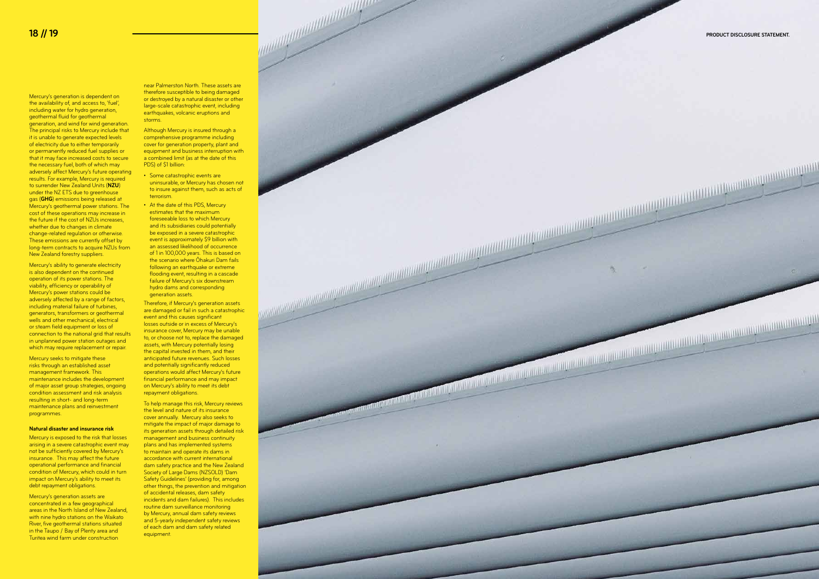Mercury's generation is dependent on the availability of, and access to, 'fuel', including water for hydro generation, geothermal fluid for geothermal generation, and wind for wind generation. The principal risks to Mercury include that it is unable to generate expected levels of electricity due to either temporarily or permanently reduced fuel supplies or that it may face increased costs to secure the necessary fuel, both of which may adversely affect Mercury's future operating results. For example, Mercury is required to surrender New Zealand Units (**NZU**) under the NZ ETS due to greenhouse gas (**GHG**) emissions being released at Mercury's geothermal power stations. The cost of these operations may increase in the future if the cost of NZUs increases, whether due to changes in climate change-related regulation or otherwise. These emissions are currently offset by long-term contracts to acquire NZUs from New Zealand forestry suppliers.

Mercury's ability to generate electricity is also dependent on the continued operation of its power stations. The viability, efficiency or operability of Mercury's power stations could be adversely affected by a range of factors, including material failure of turbines, generators, transformers or geothermal wells and other mechanical, electrical or steam field equipment or loss of connection to the national grid that results in unplanned power station outages and which may require replacement or repair

Mercury is exposed to the risk that losses arising in a severe catastrophic event may not be sufficiently covered by Mercury's insurance. This may affect the future operational performance and financial condition of Mercury, which could in turn impact on Mercury's ability to meet its debt repayment obligations.

Mercury's generation assets are concentrated in a few geographical areas in the North Island of New Zealand, with nine hydro stations on the Waikato River, five geothermal stations situated in the Taupo / Bay of Plenty area and Turitea wind farm under construction

Although Mercury is insured through a comprehensive programme including cover for generation property, plant and equipment and business interruption with a combined limit (as at the date of this PDS) of \$1 billion:

Mercury seeks to mitigate these risks through an established asset management framework. This maintenance includes the development of major asset group strategies, ongoing condition assessment and risk analysis resulting in short- and long-term maintenance plans and reinvestment programmes.

#### **Natural disaster and insurance risk**

near Palmerston North. These assets are therefore susceptible to being damaged or destroyed by a natural disaster or other large-scale catastrophic event, including earthquakes, volcanic eruptions and storms.

- Some catastrophic events are uninsurable, or Mercury has chosen not to insure against them, such as acts of terrorism.
- At the date of this PDS, Mercury estimates that the maximum foreseeable loss to which Mercury and its subsidiaries could potentially be exposed in a severe catastrophic event is approximately \$9 billion with an assessed likelihood of occurrence of 1 in 100,000 years. This is based on the scenario where Ōhakuri Dam fails following an earthquake or extreme flooding event, resulting in a cascade failure of Mercury's six downstream hydro dams and corresponding generation assets.

Therefore, if Mercury's generation assets are damaged or fail in such a catastrophic event and this causes significant losses outside or in excess of Mercury's insurance cover, Mercury may be unable to, or choose not to, replace the damaged assets, with Mercury potentially losing the capital invested in them, and their anticipated future revenues. Such losses and potentially significantly reduced operations would affect Mercury's future financial performance and may impact on Mercury's ability to meet its debt repayment obligations.

To help manage this risk, Mercury reviews the level and nature of its insurance cover annually. Mercury also seeks to mitigate the impact of major damage to its generation assets through detailed risk management and business continuity plans and has implemented systems to maintain and operate its dams in accordance with current international dam safety practice and the New Zealand Society of Large Dams (NZSOLD) 'Dam Safety Guidelines' (providing for, among other things, the prevention and mitigation of accidental releases, dam safety incidents and dam failures). This includes routine dam surveillance monitoring by Mercury, annual dam safety reviews and 5-yearly independent safety reviews of each dam and dam safety related equipment.

PRODUCT DISCLOSURE STATEMENT.

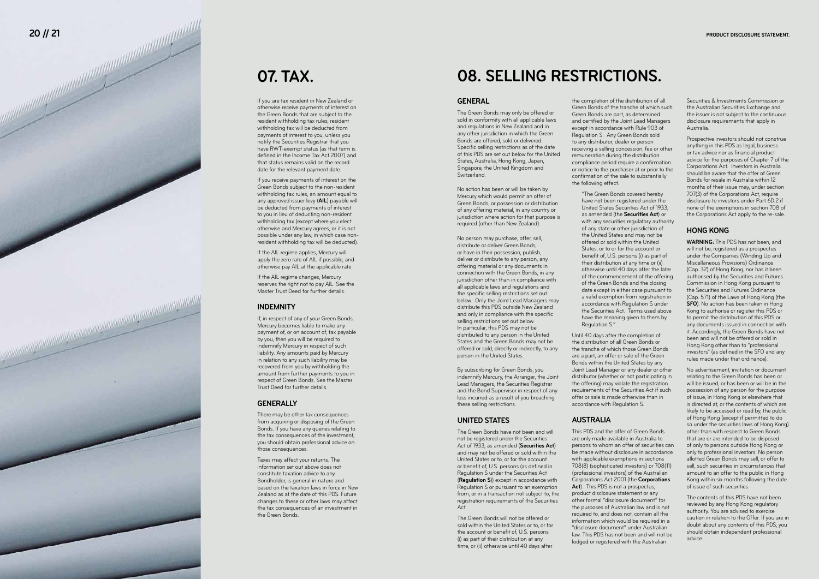### **07. TAX .**

If you are tax resident in New Zealand or otherwise receive payments of interest on the Green Bonds that are subject to the resident withholding tax rules, resident withholding tax will be deducted from payments of interest to you, unless you notify the Securities Registrar that you have RWT-exempt status (as that term is defined in the Income Tax Act 2007) and that status remains valid on the record date for the relevant payment date.

If you receive payments of interest on the Green Bonds subject to the non-resident withholding tax rules, an amount equal to any approved issuer levy (**AIL**) payable will be deducted from payments of interest to you in lieu of deducting non-resident withholding tax (except where you elect otherwise and Mercury agrees, or it is not possible under any law, in which case nonresident withholding tax will be deducted).

If the AIL regime applies, Mercury will apply the zero rate of AIL if possible, and otherwise pay AIL at the applicable rate.

If the AIL regime changes, Mercury reserves the right not to pay AIL. See the Master Trust Deed for further details.

The Green Bonds may only be offered or sold in conformity with all applicable laws and regulations in New Zealand and in any other jurisdiction in which the Green Bonds are offered, sold or delivered. Specific selling restrictions as of the date of this PDS are set out below for the United States, Australia, Hong Kong, Japan, Singapore, the United Kingdom and **Switzerland** 

#### **INDEMNITY**

If, in respect of any of your Green Bonds, Mercury becomes liable to make any payment of, or on account of, tax payable by you, then you will be required to indemnify Mercury in respect of such liability. Any amounts paid by Mercury in relation to any such liability may be recovered from you by withholding the amount from further payments to you in respect of Green Bonds. See the Master Trust Deed for further details.

#### **GENERALLY**

There may be other tax consequences from acquiring or disposing of the Green Bonds. If you have any queries relating to the tax consequences of the investment, you should obtain professional advice on those consequences.

Taxes may affect your returns. The information set out above does not constitute taxation advice to any Bondholder, is general in nature and based on the taxation laws in force in New Zealand as at the date of this PDS. Future changes to these or other laws may affect the tax consequences of an investment in the Green Bonds.

## **08. SELLING RESTRICTIONS.**

#### **GENERAL**

No action has been or will be taken by Mercury which would permit an offer of Green Bonds, or possession or distribution of any offering material, in any country or jurisdiction where action for that purpose is required (other than New Zealand).

No person may purchase, offer, sell, distribute or deliver Green Bonds, or have in their possession, publish, deliver or distribute to any person, any offering material or any documents in connection with the Green Bonds, in any jurisdiction other than in compliance with all applicable laws and regulations and the specific selling restrictions set out below. Only the Joint Lead Managers may distribute this PDS outside New Zealand and only in compliance with the specific selling restrictions set out below. In particular, this PDS may not be distributed to any person in the United States and the Green Bonds may not be offered or sold, directly or indirectly, to any person in the United States.

By subscribing for Green Bonds, you indemnify Mercury, the Arranger, the Joint Lead Managers, the Securities Registrar and the Bond Supervisor in respect of any loss incurred as a result of you breaching these selling restrictions.

#### **UNITED STATES**

The Green Bonds have not been and will not be registered under the Securities Act of 1933, as amended (**Securities Act**) and may not be offered or sold within the United States or to, or for the account or benefit of, U.S. persons (as defined in (**Regulation S**)) except in accordance with Regulation S or pursuant to an exemption from, or in a transaction not subject to, the registration requirements of the Securities Act.

The Green Bonds will not be offered or sold within the United States or to, or for the account or benefit of, U.S. persons (i) as part of their distribution at any time, or (ii) otherwise until 40 days after

the completion of the distribution of all Green Bonds of the tranche of which such Green Bonds are part, as determined and certified by the Joint Lead Managers except in accordance with Rule 903 of Regulation S. Any Green Bonds sold to any distributor, dealer or person receiving a selling concession, fee or other remuneration during the distribution compliance period require a confirmation or notice to the purchaser at or prior to the confirmation of the sale to substantially the following effect:

"The Green Bonds covered hereby have not been registered under the United States Securities Act of 1933, as amended (the **Securities Act**) or with any securities regulatory authority of any state or other jurisdiction of the United States and may not be offered or sold within the United States, or to or for the account or benefit of, U.S. persons (i) as part of their distribution at any time or (ii) otherwise until 40 days after the later of the commencement of the offering of the Green Bonds and the closing date except in either case pursuant to a valid exemption from registration in accordance with Regulation S under the Securities Act. Terms used above have the meaning given to them by Regulation S."

Until 40 days after the completion of the distribution of all Green Bonds or the tranche of which those Green Bonds are a part, an offer or sale of the Green Bonds within the United States by any Joint Lead Manager or any dealer or other distributor (whether or not participating in the offering) may violate the registration requirements of the Securities Act if such offer or sale is made otherwise than in accordance with Regulation S.

#### **AUSTRALIA**

This PDS and the offer of Green Bonds are only made available in Australia to persons to whom an offer of securities can be made without disclosure in accordance with applicable exemptions in sections 708(8) (sophisticated investors) or 708(11) (professional investors) of the Australian Corporations Act 2001 (the **Corporations**  Act). This PDS is not a prospectus. product disclosure statement or any other formal "disclosure document" for the purposes of Australian law and is not required to, and does not, contain all the information which would be required in a "disclosure document" under Australian law. This PDS has not been and will not be lodged or registered with the Australian

Securities & Investments Commission or the Australian Securities Exchange and the issuer is not subject to the continuous disclosure requirements that apply in Australia.

Prospective investors should not construe anything in this PDS as legal, business or tax advice nor as financial product advice for the purposes of Chapter 7 of the Corporations Act. Investors in Australia should be aware that the offer of Green Bonds for resale in Australia within 12 months of their issue may, under section 707(3) of the Corporations Act, require disclosure to investors under Part 6D.2 if none of the exemptions in section 708 of the Corporations Act apply to the re-sale.

#### **HONG KONG**

**WARNING:** This PDS has not been, and will not be, registered as a prospectus under the Companies (Winding Up and Miscellaneous Provisions) Ordinance (Cap. 32) of Hong Kong, nor has it been authorised by the Securities and Futures Commission in Hong Kong pursuant to the Securities and Futures Ordinance (Cap. 571) of the Laws of Hong Kong (the **SFO**). No action has been taken in Hong Kong to authorise or register this PDS or to permit the distribution of this PDS or any documents issued in connection with it. Accordingly, the Green Bonds have not been and will not be offered or sold in Hong Kong other than to "professional investors" (as defined in the SFO and any rules made under that ordinance).

No advertisement, invitation or document relating to the Green Bonds has been or will be issued, or has been or will be in the possession of any person for the purpose of issue, in Hong Kong or elsewhere that is directed at, or the contents of which are likely to be accessed or read by, the public of Hong Kong (except if permitted to do so under the securities laws of Hong Kong) other than with respect to Green Bonds that are or are intended to be disposed of only to persons outside Hong Kong or only to professional investors. No person allotted Green Bonds may sell, or offer to sell, such securities in circumstances that amount to an offer to the public in Hong Kong within six months following the date of issue of such securities.

The contents of this PDS have not been reviewed by any Hong Kong regulatory authority. You are advised to exercise caution in relation to the Offer. If you are in doubt about any contents of this PDS, you should obtain independent professional advice.

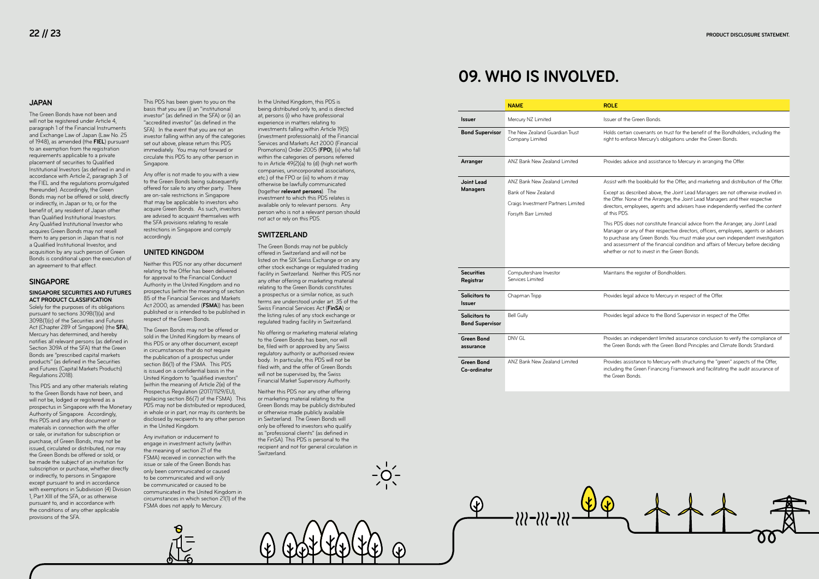#### **JAPAN**

The Green Bonds have not been and will not be registered under Article 4, paragraph 1 of the Financial Instruments and Exchange Law of Japan (Law No. 25 of 1948), as amended (the **FIEL**) pursuant to an exemption from the registration requirements applicable to a private placement of securities to Qualified Institutional Investors (as defined in and in accordance with Article 2, paragraph 3 of the FIEL and the regulations promulgated thereunder). Accordingly, the Green Bonds may not be offered or sold, directly or indirectly, in Japan or to, or for the benefit of, any resident of Japan other than Qualified Institutional Investors. Any Qualified Institutional Investor who acquires Green Bonds may not resell them to any person in Japan that is not a Qualified Institutional Investor, and acquisition by any such person of Green Bonds is conditional upon the execution of an agreement to that effect.

#### **SINGAPORE**

#### **SINGAPORE SECURITIES AND FUTURES ACT PRODUCT CLASSIFICATION**:

Solely for the purposes of its obligations pursuant to sections 309B(1)(a) and 309B(1)(c) of the Securities and Futures Act (Chapter 289 of Singapore) (the **SFA**), Mercury has determined, and hereby notifies all relevant persons (as defined in Section 309A of the SFA) that the Green Bonds are "prescribed capital markets products" (as defined in the Securities and Futures (Capital Markets Products) Regulations 2018).

This PDS and any other materials relating to the Green Bonds have not been, and will not be, lodged or registered as a prospectus in Singapore with the Monetary Authority of Singapore. Accordingly, this PDS and any other document or materials in connection with the offer or sale, or invitation for subscription or purchase, of Green Bonds, may not be issued, circulated or distributed, nor may the Green Bonds be offered or sold, or be made the subject of an invitation for subscription or purchase, whether directly or indirectly, to persons in Singapore except pursuant to and in accordance with exemptions in Subdivision (4) Division 1, Part XIII of the SFA, or as otherwise pursuant to, and in accordance with the conditions of any other applicable provisions of the SFA.

This PDS has been given to you on the basis that you are (i) an "institutional investor" (as defined in the SFA) or (ii) an "accredited investor" (as defined in the SFA). In the event that you are not an investor falling within any of the categories set out above, please return this PDS immediately. You may not forward or circulate this PDS to any other person in Singapore.

Any offer is not made to you with a view to the Green Bonds being subsequently offered for sale to any other party. There are on-sale restrictions in Singapore that may be applicable to investors who acquire Green Bonds. As such, investors are advised to acquaint themselves with the SFA provisions relating to resale restrictions in Singapore and comply accordingly.

#### **UNITED KINGDOM**

Neither this PDS nor any other document relating to the Offer has been delivered for approval to the Financial Conduct Authority in the United Kingdom and no prospectus (within the meaning of section 85 of the Financial Services and Markets Act 2000, as amended (**FSMA**)) has been published or is intended to be published in respect of the Green Bonds.

The Green Bonds may not be offered or sold in the United Kingdom by means of this PDS or any other document, except in circumstances that do not require the publication of a prospectus under section 86(1) of the FSMA. This PDS is issued on a confidential basis in the United Kingdom to "qualified investors" (within the meaning of Article 2(e) of the Prospectus Regulation (2017/1129/EU), replacing section 86(7) of the FSMA). This PDS may not be distributed or reproduced, in whole or in part, nor may its contents be disclosed by recipients to any other person in the United Kingdom.

Any invitation or inducement to engage in investment activity (within the meaning of section 21 of the FSMA) received in connection with the issue or sale of the Green Bonds has only been communicated or caused to be communicated and will only be communicated or caused to be communicated in the United Kingdom in circumstances in which section 21(1) of the FSMA does not apply to Mercury.

In the United Kingdom, this PDS is being distributed only to, and is directed at, persons (i) who have professional experience in matters relating to investments falling within Article 19(5) (investment professionals) of the Financial Services and Markets Act 2000 (Financial Promotions) Order 2005 (**FPO**), (ii) who fall within the categories of persons referred to in Article 49(2)(a) to (d) (high net worth companies, unincorporated associations, etc.) of the FPO or (iii) to whom it may otherwise be lawfully communicated (together **relevant persons**). The investment to which this PDS relates is available only to relevant persons. Any person who is not a relevant person should not act or rely on this PDS.

#### **SWITZERLAND**

The Green Bonds may not be publicly offered in Switzerland and will not be listed on the SIX Swiss Exchange or on any other stock exchange or regulated trading facility in Switzerland. Neither this PDS nor any other offering or marketing material relating to the Green Bonds constitutes a prospectus or a similar notice, as such terms are understood under art. 35 of the Swiss Financial Services Act (**FinSA**) or the listing rules of any stock exchange or regulated trading facility in Switzerland.

No offering or marketing material relating to the Green Bonds has been, nor will be, filed with or approved by any Swiss regulatory authority or authorised review body. In particular, this PDS will not be filed with, and the offer of Green Bonds will not be supervised by, the Swiss Financial Market Supervisory Authority.

Neither this PDS nor any other offering or marketing material relating to the Green Bonds may be publicly distributed or otherwise made publicly available in Switzerland. The Green Bonds will only be offered to investors who qualify as "professional clients" (as defined in the FinSA). This PDS is personal to the recipient and not for general circulation in Switzerland.

## **09. WHO IS INVOLVED.**

|                                         | <b>NAME</b>                                       | <b>ROLE</b>                                         |
|-----------------------------------------|---------------------------------------------------|-----------------------------------------------------|
| Issuer                                  | Mercury NZ Limited                                | Issuer o                                            |
| <b>Bond Supervisor</b>                  | The New Zealand Guardian Trust<br>Company Limited | Holds c<br>right to                                 |
| Arranger                                | ANZ Bank New Zealand Limited                      | <b>Provides</b>                                     |
| Joint Lead                              | ANZ Bank New Zealand Limited                      | Assist w                                            |
| <b>Managers</b>                         | Bank of New Zealand                               | Except a                                            |
|                                         | Craigs Investment Partners Limited                | the Offe<br>director                                |
|                                         | Forsyth Barr Limited                              | of this F                                           |
|                                         |                                                   | This PD<br>Manage<br>to purch<br>and ass<br>whether |
| <b>Securities</b><br>Registrar          | Computershare Investor<br>Services Limited        | Maintair                                            |
| Solicitors to<br>Issuer                 | Chapman Tripp                                     | Provides                                            |
| Solicitors to<br><b>Bond Supervisor</b> | <b>Bell Gully</b>                                 | Provides                                            |
| Green Bond<br>assurance                 | DNV GL                                            | <b>Provides</b><br>the Gree                         |
| <b>Green Bond</b><br>Co-ordinator       | ANZ Bank New Zealand Limited                      | <b>Provides</b><br>includin<br>the Gree             |



If the Green Bonds.

ertain covenants on trust for the benefit of the Bondholders, including the enforce Mercury's obligations under the Green Bonds.

s advice and assistance to Mercury in arranging the Offer.

 $\alpha$  with the bookbuild for the Offer, and marketing and distribution of the Offer.

as described above, the Joint Lead Managers are not otherwise involved in er. None of the Arranger, the Joint Lead Managers and their respective s, employees, agents and advisers have independently verified the content  $PDC$ 

)S does not constitute financial advice from the Arranger, any Joint Lead er or any of their respective directors, officers, employees, agents or advisers hase any Green Bonds. You must make your own independent investigation sessment of the financial condition and affairs of Mercury before deciding or not to invest in the Green Bonds.

ins the register of Bondholders.

s legal advice to Mercury in respect of the Offer.

s legal advice to the Bond Supervisor in respect of the Offer.

s an independent limited assurance conclusion to verify the compliance of en Bonds with the Green Bond Principles and Climate Bonds Standard.

s assistance to Mercury with structuring the "green" aspects of the Offer, ha the Green Financing Framework and facilitating the audit assurance of en Bonds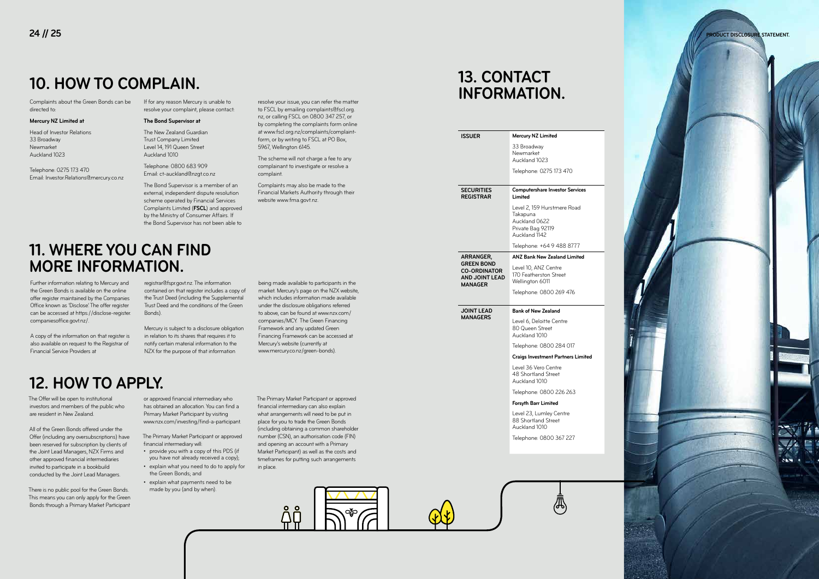## **10. HOW TO COMPLAIN.**

Complaints about the Green Bonds can be directed to:

#### **Mercury NZ Limited at**

Head of Investor Relations 33 Broadway Newmarket Auckland 1023

Telephone: 0275 173 470 Email: Investor.Relations@mercury.co.nz If for any reason Mercury is unable to resolve your complaint, please contact:

#### **The Bond Supervisor at**

The New Zealand Guardian Trust Company Limited Level 14, 191 Queen Street Auckland 1010

Telephone: 0800 683 909 Email: ct-auckland@nzgt.co.nz

The Bond Supervisor is a member of an external, independent dispute resolution scheme operated by Financial Services Complaints Limited (**FSCL**) and approved by the Ministry of Consumer Affairs. If the Bond Supervisor has not been able to

resolve your issue, you can refer the matter to FSCL by emailing complaints@fscl.org. nz, or calling FSCL on 0800 347 257, or by completing the complaints form online at www.fscl.org.nz/complaints/complaintform, or by writing to FSCL at PO Box,

5967, Wellington 6145.

The scheme will not charge a fee to any complainant to investigate or resolve a

complaint.

Complaints may also be made to the Financial Markets Authority through their

website www.fma.govt.nz.

Further information relating to Mercury and the Green Bonds is available on the online offer register maintained by the Companies Office known as 'Disclose'. The offer register can be accessed at https://disclose-register. companiesoffice.govt.nz/.

A copy of the information on that register is also available on request to the Registrar of Financial Service Providers at

> The Primary Market Participant or approved financial intermediary will: • provide you with a copy of this PDS (if

registrar@fspr.govt.nz. The information contained on that register includes a copy of the Trust Deed (including the Supplemental Trust Deed and the conditions of the Green Bonds).

Mercury is subject to a disclosure obligation in relation to its shares that requires it to notify certain material information to the NZX for the purpose of that information

being made available to participants in the market. Mercury's page on the NZX website, which includes information made available under the disclosure obligations referred to above, can be found at www.nzx.com/ companies/MCY. The Green Financing Framework and any updated Green Financing Framework can be accessed at

Mercury's website (currently at www.mercury.co.nz/green-bonds).

### **11. WHERE YOU CAN FIND MORE INFORMATION.**

The Offer will be open to institutional investors and members of the public who are resident in New Zealand.

All of the Green Bonds offered under the Offer (including any oversubscriptions) have been reserved for subscription by clients of the Joint Lead Managers, NZX Firms and other approved financial intermediaries invited to participate in a bookbuild conducted by the Joint Lead Managers.

There is no public pool for the Green Bonds. This means you can only apply for the Green Bonds through a Primary Market Participant

or approved financial intermediary who has obtained an allocation. You can find a Primary Market Participant by visiting www.nzx.com/investing/find-a-participant.

- you have not already received a copy); • explain what you need to do to apply for the Green Bonds; and
- explain what payments need to be made by you (and by when).

The Primary Market Participant or approved financial intermediary can also explain what arrangements will need to be put in place for you to trade the Green Bonds (including obtaining a common shareholder number (CSN), an authorisation code (FIN) and opening an account with a Primary Market Participant) as well as the costs and timeframes for putting such arrangements in place.

## **12. HOW TO APPLY.**

## **13. CONTACT INFORMATION.**

| <b>ISSUER</b>                                                                       | Mercury NZ Limited                                                                             |
|-------------------------------------------------------------------------------------|------------------------------------------------------------------------------------------------|
|                                                                                     | 33 Broadway<br>Newmarket<br>Auckland 1023                                                      |
|                                                                                     | Telephone: 0275 173 470                                                                        |
| <b>SECURITIES</b><br><b>REGISTRAR</b>                                               | <b>Computershare Investor Services</b><br>Limited                                              |
|                                                                                     | Level 2, 159 Hurstmere Road<br>Takapuna<br>Auckland 0622<br>Private Bag 92119<br>Auckland 1142 |
|                                                                                     | Telephone: +64 9 488 8777                                                                      |
| ARRANGER,                                                                           | <b>ANZ Bank New Zealand Limited</b>                                                            |
| <b>GREEN BOND</b><br><b>CO-ORDINATOR</b><br><b>AND JOINT LEAD</b><br><b>MANAGER</b> | Level 10, ANZ Centre<br>170 Featherston Street<br>Wellington 6011                              |
|                                                                                     | Telephone: 0800 269 476                                                                        |
| <b>JOINT LEAD</b>                                                                   | <b>Bank of New Zealand</b>                                                                     |
| <b>MANAGERS</b>                                                                     | Level 6, Deloitte Centre<br>80 Queen Street<br>Auckland 1010                                   |
|                                                                                     | Telephone: 0800 284 017                                                                        |
|                                                                                     | Craigs Investment Partners Limited                                                             |
|                                                                                     | Level 36 Vero Centre<br>48 Shortland Street<br>Auckland 1010                                   |
|                                                                                     | Telephone: 0800 226 263                                                                        |
|                                                                                     | <b>Forsyth Barr Limited</b>                                                                    |
|                                                                                     | Level 23, Lumley Centre<br>88 Shortland Street<br>Auckland 1010                                |
|                                                                                     | Telephone: 0800 367 227                                                                        |
|                                                                                     |                                                                                                |
|                                                                                     |                                                                                                |
|                                                                                     |                                                                                                |

 $\langle A \rangle$ 

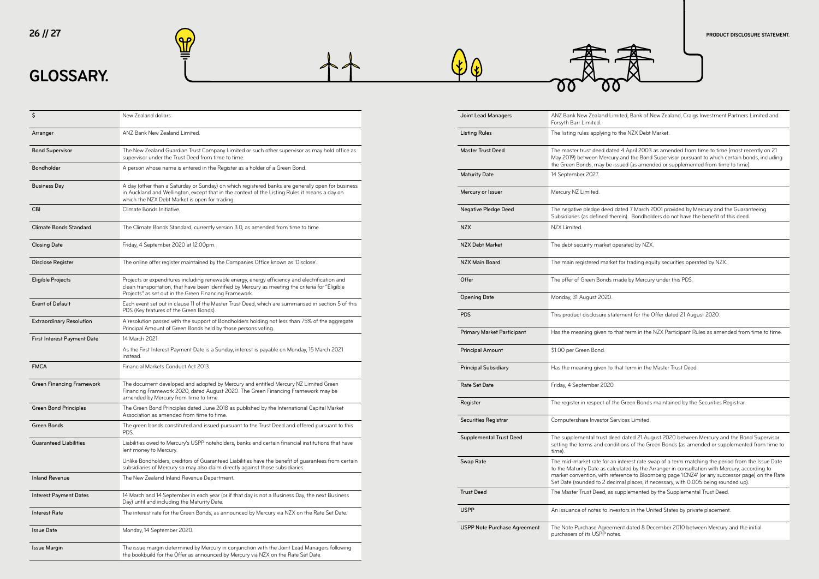## **GLOSSARY.**





| Joint Lead Managers          | ANZ Bank New Zealand Limit<br>Forsyth Barr Limited.                                                                              |
|------------------------------|----------------------------------------------------------------------------------------------------------------------------------|
| <b>Listing Rules</b>         | The listing rules applying to th                                                                                                 |
| <b>Master Trust Deed</b>     | The master trust deed dated<br>May 2019) between Mercury a<br>the Green Bonds, may be issu                                       |
| <b>Maturity Date</b>         | 14 September 2027.                                                                                                               |
| Mercury or Issuer            | Mercury NZ Limited.                                                                                                              |
| Negative Pledge Deed         | The negative pledge deed da<br>Subsidiaries (as defined there                                                                    |
| NZX                          | NZX Limited.                                                                                                                     |
| NZX Debt Market              | The debt security market ope                                                                                                     |
| NZX Main Board               | The main registered market f                                                                                                     |
| Offer                        | The offer of Green Bonds ma                                                                                                      |
| <b>Opening Date</b>          | Monday, 31 August 2020.                                                                                                          |
| PDS                          | This product disclosure stater                                                                                                   |
| Primary Market Participant   | Has the meaning given to tha                                                                                                     |
| <b>Principal Amount</b>      | \$1.00 per Green Bond.                                                                                                           |
| Principal Subsidiary         | Has the meaning given to tha                                                                                                     |
| Rate Set Date                | Friday, 4 September 2020                                                                                                         |
| Register                     | The register in respect of the                                                                                                   |
| Securities Registrar         | Computershare Investor Serv                                                                                                      |
| Supplemental Trust Deed      | The supplemental trust deed<br>setting the terms and conditi<br>time).                                                           |
| Swap Rate                    | The mid-market rate for an ir<br>to the Maturity Date as calcul<br>market convention, with refer<br>Set Date (rounded to 2 decim |
| <b>Trust Deed</b>            | The Master Trust Deed, as sup                                                                                                    |
| USPP                         | An issuance of notes to inves                                                                                                    |
| USPP Note Purchase Agreement | The Note Purchase Agreemer<br>purchasers of its USPP notes.                                                                      |

### **26 // 27 PRODUCT DISCLOSURE STATEMENT.**



ited, Bank of New Zealand, Craigs Investment Partners Limited and

the NZX Debt Market.

14 April 2003 as amended from time to time (most recently on 21 and the Bond Supervisor pursuant to which certain bonds, including tued (as amended or supplemented from time to time).

ated 7 March 2001 provided by Mercury and the Guaranteeing ein). Bondholders do not have the benefit of this deed.

erated by NZX.

for trading equity securities operated by NZX.

ade by Mercury under this PDS.

ement for the Offer dated 21 August 2020.

hat term in the NZX Participant Rules as amended from time to time.

at term in the Master Trust Deed.

**Green Bonds maintained by the Securities Registrar.** 

vices Limited.

d dated 21 August 2020 between Mercury and the Bond Supervisor tions of the Green Bonds (as amended or supplemented from time to

nterest rate swap of a term matching the period from the Issue Date lated by the Arranger in consultation with Mercury, according to rence to Bloomberg page 'ICNZ4' (or any successor page) on the Rate nal places, if necessary, with 0.005 being rounded up).

ipplemented by the Supplemental Trust Deed.

stors in the United States by private placement.

ent dated 8 December 2010 between Mercury and the initial